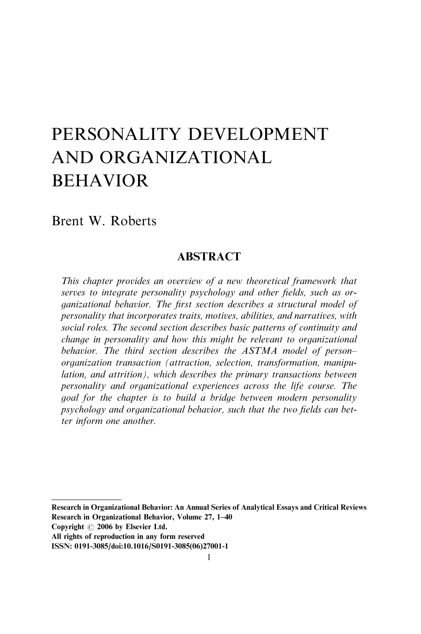# PERSONALITY DEVELOPMENT AND ORGANIZATIONAL **BEHAVIOR**

Brent W. Roberts

# **ABSTRACT**

This chapter provides an overview of a new theoretical framework that serves to integrate personality psychology and other fields, such as organizational behavior. The first section describes a structural model of personality that incorporates traits, motives, abilities, and narratives, with social roles. The second section describes basic patterns of continuity and change in personality and how this might be relevant to organizational behavior. The third section describes the ASTMA model of person– organization transaction (attraction, selection, transformation, manipulation, and attrition), which describes the primary transactions between personality and organizational experiences across the life course. The goal for the chapter is to build a bridge between modern personality psychology and organizational behavior, such that the two fields can better inform one another.

Research in Organizational Behavior: An Annual Series of Analytical Essays and Critical Reviews Research in Organizational Behavior, Volume 27, 1–40

Copyright  $\odot$  2006 by Elsevier Ltd.

All rights of reproduction in any form reserved

ISSN: 0191-3085/doi:10.1016/S0191-3085(06)27001-1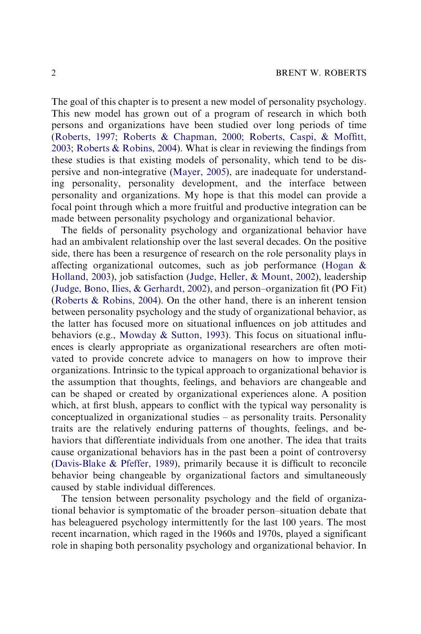The goal of this chapter is to present a new model of personality psychology. This new model has grown out of a program of research in which both persons and organizations have been studied over long periods of time [\(Roberts, 1997;](#page-37-0) [Roberts](#page-37-0) & [Chapman, 2000](#page-37-0); [Roberts, Caspi,](#page-37-0) & [Moffitt,](#page-37-0) [2003;](#page-37-0) [Roberts & Robins, 2004](#page-38-0)). What is clear in reviewing the findings from these studies is that existing models of personality, which tend to be dispersive and non-integrative [\(Mayer, 2005\)](#page-36-0), are inadequate for understanding personality, personality development, and the interface between personality and organizations. My hope is that this model can provide a focal point through which a more fruitful and productive integration can be made between personality psychology and organizational behavior.

The fields of personality psychology and organizational behavior have had an ambivalent relationship over the last several decades. On the positive side, there has been a resurgence of research on the role personality plays in affecting organizational outcomes, such as job performance [\(Hogan &](#page-35-0) [Holland, 2003\)](#page-35-0), job satisfaction [\(Judge, Heller, & Mount, 2002](#page-36-0)), leadership [\(Judge, Bono, Ilies, & Gerhardt, 2002\)](#page-36-0), and person–organization fit (PO Fit) [\(Roberts & Robins, 2004\)](#page-38-0). On the other hand, there is an inherent tension between personality psychology and the study of organizational behavior, as the latter has focused more on situational influences on job attitudes and behaviors (e.g., [Mowday](#page-37-0) & [Sutton, 1993\)](#page-37-0). This focus on situational influences is clearly appropriate as organizational researchers are often motivated to provide concrete advice to managers on how to improve their organizations. Intrinsic to the typical approach to organizational behavior is the assumption that thoughts, feelings, and behaviors are changeable and can be shaped or created by organizational experiences alone. A position which, at first blush, appears to conflict with the typical way personality is conceptualized in organizational studies – as personality traits. Personality traits are the relatively enduring patterns of thoughts, feelings, and behaviors that differentiate individuals from one another. The idea that traits cause organizational behaviors has in the past been a point of controversy [\(Davis-Blake](#page-34-0) & [Pfeffer, 1989\)](#page-34-0), primarily because it is difficult to reconcile behavior being changeable by organizational factors and simultaneously caused by stable individual differences.

The tension between personality psychology and the field of organizational behavior is symptomatic of the broader person–situation debate that has beleaguered psychology intermittently for the last 100 years. The most recent incarnation, which raged in the 1960s and 1970s, played a significant role in shaping both personality psychology and organizational behavior. In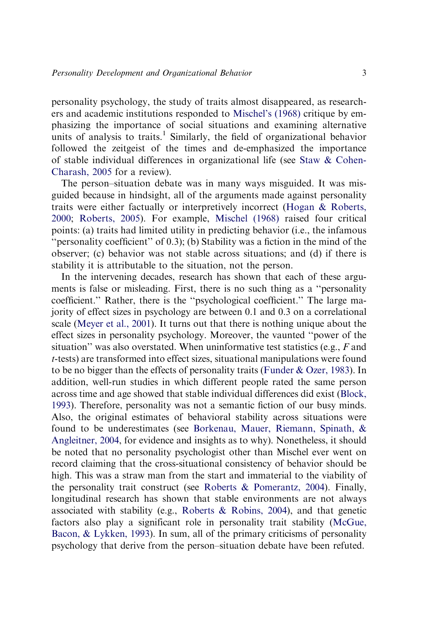personality psychology, the study of traits almost disappeared, as researchers and academic institutions responded to [Mischel's \(1968\)](#page-37-0) critique by emphasizing the importance of social situations and examining alternative units of analysis to traits.<sup>1</sup> Similarly, the field of organizational behavior followed the zeitgeist of the times and de-emphasized the importance of stable individual differences in organizational life (see [Staw](#page-38-0) [& Cohen-](#page-38-0)[Charash, 2005](#page-38-0) for a review).

The person–situation debate was in many ways misguided. It was misguided because in hindsight, all of the arguments made against personality traits were either factually or interpretively incorrect [\(Hogan & Roberts,](#page-35-0) [2000;](#page-35-0) [Roberts, 2005\)](#page-37-0). For example, [Mischel \(1968\)](#page-37-0) raised four critical points: (a) traits had limited utility in predicting behavior (i.e., the infamous ''personality coefficient'' of 0.3); (b) Stability was a fiction in the mind of the observer; (c) behavior was not stable across situations; and (d) if there is stability it is attributable to the situation, not the person.

In the intervening decades, research has shown that each of these arguments is false or misleading. First, there is no such thing as a ''personality coefficient.'' Rather, there is the ''psychological coefficient.'' The large majority of effect sizes in psychology are between 0.1 and 0.3 on a correlational scale ([Meyer et al., 2001\)](#page-37-0). It turns out that there is nothing unique about the effect sizes in personality psychology. Moreover, the vaunted ''power of the situation'' was also overstated. When uninformative test statistics (e.g.,  $F$  and t-tests) are transformed into effect sizes, situational manipulations were found to be no bigger than the effects of personality traits [\(Funder](#page-35-0) [& Ozer, 1983](#page-35-0)). In addition, well-run studies in which different people rated the same person across time and age showed that stable individual differences did exist ([Block,](#page-33-0) [1993](#page-33-0)). Therefore, personality was not a semantic fiction of our busy minds. Also, the original estimates of behavioral stability across situations were found to be underestimates (see [Borkenau, Mauer, Riemann, Spinath, &](#page-33-0) [Angleitner, 2004,](#page-33-0) for evidence and insights as to why). Nonetheless, it should be noted that no personality psychologist other than Mischel ever went on record claiming that the cross-situational consistency of behavior should be high. This was a straw man from the start and immaterial to the viability of the personality trait construct (see [Roberts](#page-38-0) & [Pomerantz, 2004](#page-38-0)). Finally, longitudinal research has shown that stable environments are not always associated with stability (e.g., [Roberts](#page-38-0)  $\&$  Robins, 2004), and that genetic factors also play a significant role in personality trait stability [\(McGue,](#page-36-0) [Bacon,](#page-36-0) & [Lykken, 1993](#page-36-0)). In sum, all of the primary criticisms of personality psychology that derive from the person–situation debate have been refuted.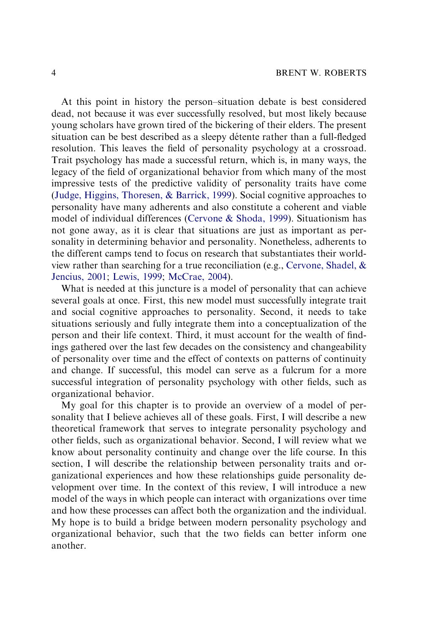At this point in history the person–situation debate is best considered dead, not because it was ever successfully resolved, but most likely because young scholars have grown tired of the bickering of their elders. The present situation can be best described as a sleepy détente rather than a full-fledged resolution. This leaves the field of personality psychology at a crossroad. Trait psychology has made a successful return, which is, in many ways, the legacy of the field of organizational behavior from which many of the most impressive tests of the predictive validity of personality traits have come [\(Judge, Higgins, Thoresen, & Barrick, 1999](#page-36-0)). Social cognitive approaches to personality have many adherents and also constitute a coherent and viable model of individual differences [\(Cervone](#page-34-0) & [Shoda, 1999](#page-34-0)). Situationism has not gone away, as it is clear that situations are just as important as personality in determining behavior and personality. Nonetheless, adherents to the different camps tend to focus on research that substantiates their worldview rather than searching for a true reconciliation (e.g., [Cervone, Shadel, &](#page-34-0) [Jencius, 2001](#page-34-0); [Lewis, 1999](#page-36-0); [McCrae, 2004\)](#page-36-0).

What is needed at this juncture is a model of personality that can achieve several goals at once. First, this new model must successfully integrate trait and social cognitive approaches to personality. Second, it needs to take situations seriously and fully integrate them into a conceptualization of the person and their life context. Third, it must account for the wealth of findings gathered over the last few decades on the consistency and changeability of personality over time and the effect of contexts on patterns of continuity and change. If successful, this model can serve as a fulcrum for a more successful integration of personality psychology with other fields, such as organizational behavior.

My goal for this chapter is to provide an overview of a model of personality that I believe achieves all of these goals. First, I will describe a new theoretical framework that serves to integrate personality psychology and other fields, such as organizational behavior. Second, I will review what we know about personality continuity and change over the life course. In this section, I will describe the relationship between personality traits and organizational experiences and how these relationships guide personality development over time. In the context of this review, I will introduce a new model of the ways in which people can interact with organizations over time and how these processes can affect both the organization and the individual. My hope is to build a bridge between modern personality psychology and organizational behavior, such that the two fields can better inform one another.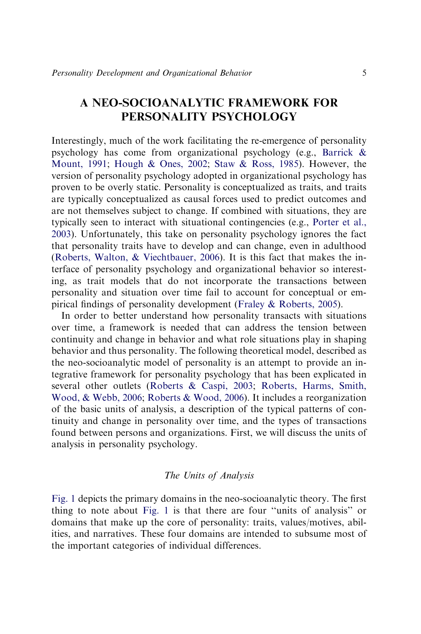# A NEO-SOCIOANALYTIC FRAMEWORK FOR PERSONALITY PSYCHOLOGY

Interestingly, much of the work facilitating the re-emergence of personality psychology has come from organizational psychology (e.g., [Barrick &](#page-33-0) [Mount, 1991;](#page-33-0) [Hough](#page-36-0) [& Ones, 2002](#page-36-0); [Staw](#page-39-0) [& Ross, 1985\)](#page-39-0). However, the version of personality psychology adopted in organizational psychology has proven to be overly static. Personality is conceptualized as traits, and traits are typically conceptualized as causal forces used to predict outcomes and are not themselves subject to change. If combined with situations, they are typically seen to interact with situational contingencies (e.g., [Porter et al.,](#page-37-0) [2003\)](#page-37-0). Unfortunately, this take on personality psychology ignores the fact that personality traits have to develop and can change, even in adulthood [\(Roberts, Walton,](#page-38-0) & [Viechtbauer, 2006\)](#page-38-0). It is this fact that makes the interface of personality psychology and organizational behavior so interesting, as trait models that do not incorporate the transactions between personality and situation over time fail to account for conceptual or empirical findings of personality development ([Fraley & Roberts, 2005\)](#page-35-0).

In order to better understand how personality transacts with situations over time, a framework is needed that can address the tension between continuity and change in behavior and what role situations play in shaping behavior and thus personality. The following theoretical model, described as the neo-socioanalytic model of personality is an attempt to provide an integrative framework for personality psychology that has been explicated in several other outlets [\(Roberts](#page-37-0) & [Caspi, 2003](#page-37-0); [Roberts, Harms, Smith,](#page-38-0) [Wood, & Webb, 2006;](#page-38-0) [Roberts & Wood, 2006\)](#page-38-0). It includes a reorganization of the basic units of analysis, a description of the typical patterns of continuity and change in personality over time, and the types of transactions found between persons and organizations. First, we will discuss the units of analysis in personality psychology.

## The Units of Analysis

[Fig. 1](#page-5-0) depicts the primary domains in the neo-socioanalytic theory. The first thing to note about [Fig. 1](#page-5-0) is that there are four ''units of analysis'' or domains that make up the core of personality: traits, values/motives, abilities, and narratives. These four domains are intended to subsume most of the important categories of individual differences.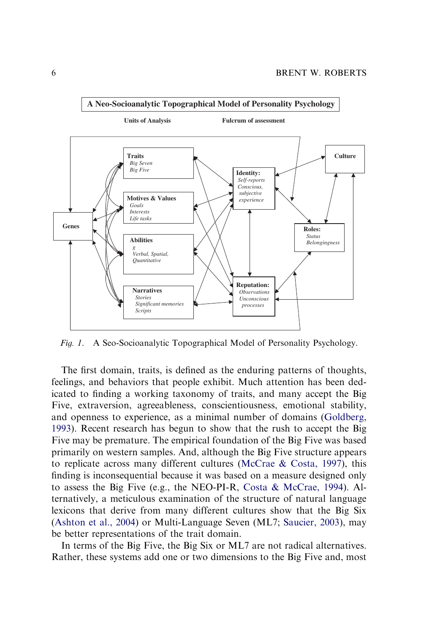<span id="page-5-0"></span>

Fig. 1. A Seo-Socioanalytic Topographical Model of Personality Psychology.

The first domain, traits, is defined as the enduring patterns of thoughts, feelings, and behaviors that people exhibit. Much attention has been dedicated to finding a working taxonomy of traits, and many accept the Big Five, extraversion, agreeableness, conscientiousness, emotional stability, and openness to experience, as a minimal number of domains [\(Goldberg,](#page-35-0) [1993\)](#page-35-0). Recent research has begun to show that the rush to accept the Big Five may be premature. The empirical foundation of the Big Five was based primarily on western samples. And, although the Big Five structure appears to replicate across many different cultures ([McCrae & Costa, 1997\)](#page-36-0), this finding is inconsequential because it was based on a measure designed only to assess the Big Five (e.g., the NEO-PI-R, [Costa](#page-34-0) [& McCrae, 1994\)](#page-34-0). Alternatively, a meticulous examination of the structure of natural language lexicons that derive from many different cultures show that the Big Six [\(Ashton et al., 2004\)](#page-33-0) or Multi-Language Seven (ML7; [Saucier, 2003\)](#page-38-0), may be better representations of the trait domain.

In terms of the Big Five, the Big Six or ML7 are not radical alternatives. Rather, these systems add one or two dimensions to the Big Five and, most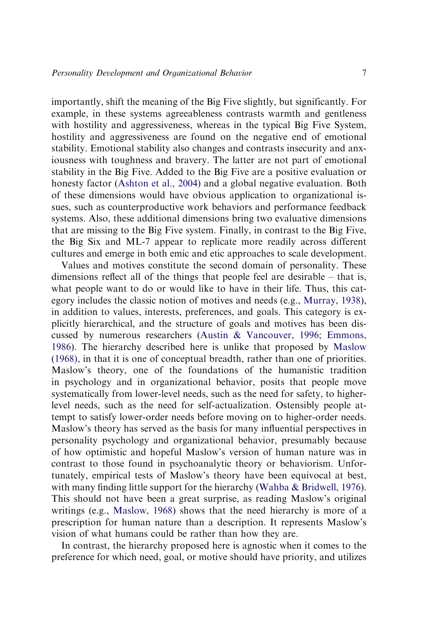importantly, shift the meaning of the Big Five slightly, but significantly. For example, in these systems agreeableness contrasts warmth and gentleness with hostility and aggressiveness, whereas in the typical Big Five System, hostility and aggressiveness are found on the negative end of emotional stability. Emotional stability also changes and contrasts insecurity and anxiousness with toughness and bravery. The latter are not part of emotional stability in the Big Five. Added to the Big Five are a positive evaluation or honesty factor ([Ashton et al., 2004](#page-33-0)) and a global negative evaluation. Both of these dimensions would have obvious application to organizational issues, such as counterproductive work behaviors and performance feedback systems. Also, these additional dimensions bring two evaluative dimensions that are missing to the Big Five system. Finally, in contrast to the Big Five, the Big Six and ML-7 appear to replicate more readily across different cultures and emerge in both emic and etic approaches to scale development.

Values and motives constitute the second domain of personality. These dimensions reflect all of the things that people feel are desirable – that is, what people want to do or would like to have in their life. Thus, this category includes the classic notion of motives and needs (e.g., [Murray, 1938\)](#page-37-0), in addition to values, interests, preferences, and goals. This category is explicitly hierarchical, and the structure of goals and motives has been discussed by numerous researchers [\(Austin](#page-33-0) & [Vancouver, 1996;](#page-33-0) [Emmons,](#page-34-0) [1986\)](#page-34-0). The hierarchy described here is unlike that proposed by [Maslow](#page-36-0) [\(1968\)](#page-36-0), in that it is one of conceptual breadth, rather than one of priorities. Maslow's theory, one of the foundations of the humanistic tradition in psychology and in organizational behavior, posits that people move systematically from lower-level needs, such as the need for safety, to higherlevel needs, such as the need for self-actualization. Ostensibly people attempt to satisfy lower-order needs before moving on to higher-order needs. Maslow's theory has served as the basis for many influential perspectives in personality psychology and organizational behavior, presumably because of how optimistic and hopeful Maslow's version of human nature was in contrast to those found in psychoanalytic theory or behaviorism. Unfortunately, empirical tests of Maslow's theory have been equivocal at best, with many finding little support for the hierarchy (Wahba  $&$  Bridwell, 1976). This should not have been a great surprise, as reading Maslow's original writings (e.g., [Maslow, 1968\)](#page-36-0) shows that the need hierarchy is more of a prescription for human nature than a description. It represents Maslow's vision of what humans could be rather than how they are.

In contrast, the hierarchy proposed here is agnostic when it comes to the preference for which need, goal, or motive should have priority, and utilizes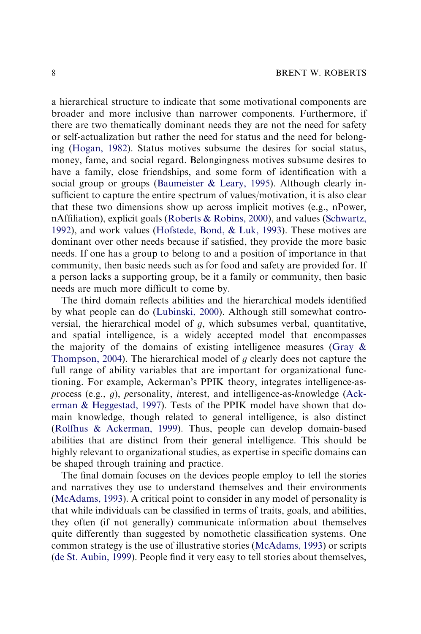a hierarchical structure to indicate that some motivational components are broader and more inclusive than narrower components. Furthermore, if there are two thematically dominant needs they are not the need for safety or self-actualization but rather the need for status and the need for belonging ([Hogan, 1982](#page-35-0)). Status motives subsume the desires for social status, money, fame, and social regard. Belongingness motives subsume desires to have a family, close friendships, and some form of identification with a social group or groups ([Baumeister](#page-33-0) & [Leary, 1995\)](#page-33-0). Although clearly insufficient to capture the entire spectrum of values/motivation, it is also clear that these two dimensions show up across implicit motives (e.g., nPower, nAffiliation), explicit goals ([Roberts](#page-38-0) [& Robins, 2000\)](#page-38-0), and values ([Schwartz,](#page-38-0) [1992\)](#page-38-0), and work values [\(Hofstede, Bond, & Luk, 1993\)](#page-35-0). These motives are dominant over other needs because if satisfied, they provide the more basic needs. If one has a group to belong to and a position of importance in that community, then basic needs such as for food and safety are provided for. If a person lacks a supporting group, be it a family or community, then basic needs are much more difficult to come by.

The third domain reflects abilities and the hierarchical models identified by what people can do [\(Lubinski, 2000](#page-36-0)). Although still somewhat controversial, the hierarchical model of  $q$ , which subsumes verbal, quantitative, and spatial intelligence, is a widely accepted model that encompasses the majority of the domains of existing intelligence measures (Gray  $\&$ [Thompson, 2004\)](#page-35-0). The hierarchical model of  $q$  clearly does not capture the full range of ability variables that are important for organizational functioning. For example, Ackerman's PPIK theory, integrates intelligence-asprocess (e.g., g), personality, interest, and intelligence-as-knowledge ([Ack](#page-33-0)[erman](#page-33-0) & [Heggestad, 1997](#page-33-0)). Tests of the PPIK model have shown that domain knowledge, though related to general intelligence, is also distinct [\(Rolfhus & Ackerman, 1999\)](#page-38-0). Thus, people can develop domain-based abilities that are distinct from their general intelligence. This should be highly relevant to organizational studies, as expertise in specific domains can be shaped through training and practice.

The final domain focuses on the devices people employ to tell the stories and narratives they use to understand themselves and their environments [\(McAdams, 1993\)](#page-36-0). A critical point to consider in any model of personality is that while individuals can be classified in terms of traits, goals, and abilities, they often (if not generally) communicate information about themselves quite differently than suggested by nomothetic classification systems. One common strategy is the use of illustrative stories [\(McAdams, 1993\)](#page-36-0) or scripts [\(de St. Aubin, 1999\)](#page-34-0). People find it very easy to tell stories about themselves,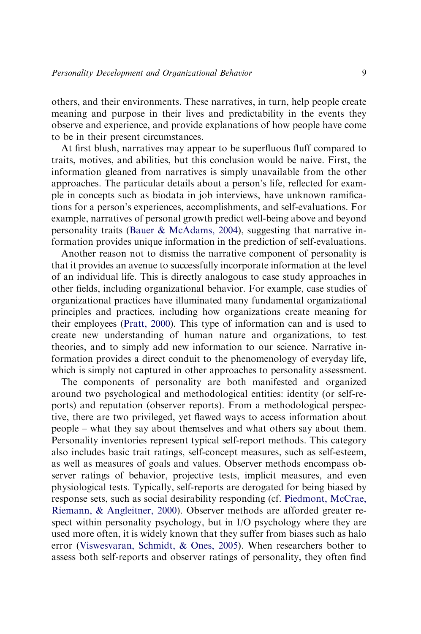others, and their environments. These narratives, in turn, help people create meaning and purpose in their lives and predictability in the events they observe and experience, and provide explanations of how people have come to be in their present circumstances.

At first blush, narratives may appear to be superfluous fluff compared to traits, motives, and abilities, but this conclusion would be naive. First, the information gleaned from narratives is simply unavailable from the other approaches. The particular details about a person's life, reflected for example in concepts such as biodata in job interviews, have unknown ramifications for a person's experiences, accomplishments, and self-evaluations. For example, narratives of personal growth predict well-being above and beyond personality traits ([Bauer & McAdams, 2004\)](#page-33-0), suggesting that narrative information provides unique information in the prediction of self-evaluations.

Another reason not to dismiss the narrative component of personality is that it provides an avenue to successfully incorporate information at the level of an individual life. This is directly analogous to case study approaches in other fields, including organizational behavior. For example, case studies of organizational practices have illuminated many fundamental organizational principles and practices, including how organizations create meaning for their employees ([Pratt, 2000](#page-37-0)). This type of information can and is used to create new understanding of human nature and organizations, to test theories, and to simply add new information to our science. Narrative information provides a direct conduit to the phenomenology of everyday life, which is simply not captured in other approaches to personality assessment.

The components of personality are both manifested and organized around two psychological and methodological entities: identity (or self-reports) and reputation (observer reports). From a methodological perspective, there are two privileged, yet flawed ways to access information about people – what they say about themselves and what others say about them. Personality inventories represent typical self-report methods. This category also includes basic trait ratings, self-concept measures, such as self-esteem, as well as measures of goals and values. Observer methods encompass observer ratings of behavior, projective tests, implicit measures, and even physiological tests. Typically, self-reports are derogated for being biased by response sets, such as social desirability responding (cf. [Piedmont, McCrae,](#page-37-0) [Riemann,](#page-37-0) & [Angleitner, 2000](#page-37-0)). Observer methods are afforded greater respect within personality psychology, but in I/O psychology where they are used more often, it is widely known that they suffer from biases such as halo error ([Viswesvaran, Schmidt, & Ones, 2005\)](#page-39-0). When researchers bother to assess both self-reports and observer ratings of personality, they often find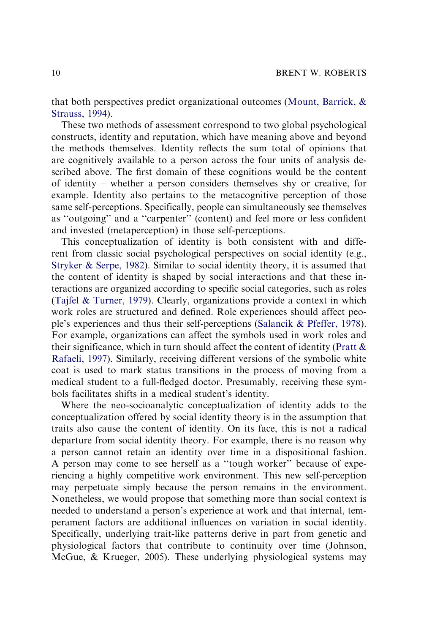that both perspectives predict organizational outcomes ([Mount, Barrick, &](#page-37-0) [Strauss, 1994\)](#page-37-0).

These two methods of assessment correspond to two global psychological constructs, identity and reputation, which have meaning above and beyond the methods themselves. Identity reflects the sum total of opinions that are cognitively available to a person across the four units of analysis described above. The first domain of these cognitions would be the content of identity – whether a person considers themselves shy or creative, for example. Identity also pertains to the metacognitive perception of those same self-perceptions. Specifically, people can simultaneously see themselves as ''outgoing'' and a ''carpenter'' (content) and feel more or less confident and invested (metaperception) in those self-perceptions.

This conceptualization of identity is both consistent with and different from classic social psychological perspectives on social identity (e.g., [Stryker](#page-39-0) [& Serpe, 1982\)](#page-39-0). Similar to social identity theory, it is assumed that the content of identity is shaped by social interactions and that these interactions are organized according to specific social categories, such as roles [\(Tajfel](#page-39-0) [& Turner, 1979](#page-39-0)). Clearly, organizations provide a context in which work roles are structured and defined. Role experiences should affect people's experiences and thus their self-perceptions [\(Salancik & Pfeffer, 1978\)](#page-38-0). For example, organizations can affect the symbols used in work roles and their significance, which in turn should affect the content of identity (Pratt  $\&$ [Rafaeli, 1997\)](#page-37-0). Similarly, receiving different versions of the symbolic white coat is used to mark status transitions in the process of moving from a medical student to a full-fledged doctor. Presumably, receiving these symbols facilitates shifts in a medical student's identity.

Where the neo-socioanalytic conceptualization of identity adds to the conceptualization offered by social identity theory is in the assumption that traits also cause the content of identity. On its face, this is not a radical departure from social identity theory. For example, there is no reason why a person cannot retain an identity over time in a dispositional fashion. A person may come to see herself as a ''tough worker'' because of experiencing a highly competitive work environment. This new self-perception may perpetuate simply because the person remains in the environment. Nonetheless, we would propose that something more than social context is needed to understand a person's experience at work and that internal, temperament factors are additional influences on variation in social identity. Specifically, underlying trait-like patterns derive in part from genetic and physiological factors that contribute to continuity over time (Johnson, McGue, & Krueger, 2005). These underlying physiological systems may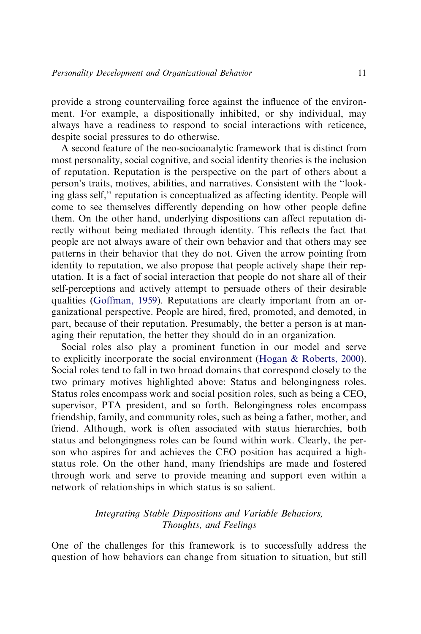provide a strong countervailing force against the influence of the environment. For example, a dispositionally inhibited, or shy individual, may always have a readiness to respond to social interactions with reticence, despite social pressures to do otherwise.

A second feature of the neo-socioanalytic framework that is distinct from most personality, social cognitive, and social identity theories is the inclusion of reputation. Reputation is the perspective on the part of others about a person's traits, motives, abilities, and narratives. Consistent with the ''looking glass self,'' reputation is conceptualized as affecting identity. People will come to see themselves differently depending on how other people define them. On the other hand, underlying dispositions can affect reputation directly without being mediated through identity. This reflects the fact that people are not always aware of their own behavior and that others may see patterns in their behavior that they do not. Given the arrow pointing from identity to reputation, we also propose that people actively shape their reputation. It is a fact of social interaction that people do not share all of their self-perceptions and actively attempt to persuade others of their desirable qualities ([Goffman, 1959](#page-35-0)). Reputations are clearly important from an organizational perspective. People are hired, fired, promoted, and demoted, in part, because of their reputation. Presumably, the better a person is at managing their reputation, the better they should do in an organization.

Social roles also play a prominent function in our model and serve to explicitly incorporate the social environment [\(Hogan](#page-35-0) & [Roberts, 2000\)](#page-35-0). Social roles tend to fall in two broad domains that correspond closely to the two primary motives highlighted above: Status and belongingness roles. Status roles encompass work and social position roles, such as being a CEO, supervisor, PTA president, and so forth. Belongingness roles encompass friendship, family, and community roles, such as being a father, mother, and friend. Although, work is often associated with status hierarchies, both status and belongingness roles can be found within work. Clearly, the person who aspires for and achieves the CEO position has acquired a highstatus role. On the other hand, many friendships are made and fostered through work and serve to provide meaning and support even within a network of relationships in which status is so salient.

## Integrating Stable Dispositions and Variable Behaviors, Thoughts, and Feelings

One of the challenges for this framework is to successfully address the question of how behaviors can change from situation to situation, but still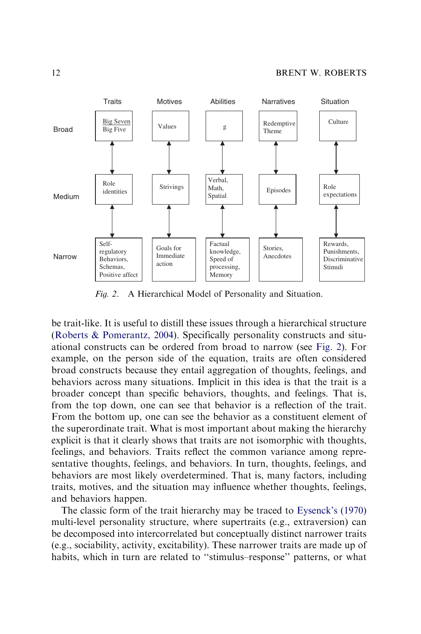<span id="page-11-0"></span>

Fig. 2. A Hierarchical Model of Personality and Situation.

be trait-like. It is useful to distill these issues through a hierarchical structure [\(Roberts & Pomerantz, 2004\)](#page-38-0). Specifically personality constructs and situational constructs can be ordered from broad to narrow (see Fig. 2). For example, on the person side of the equation, traits are often considered broad constructs because they entail aggregation of thoughts, feelings, and behaviors across many situations. Implicit in this idea is that the trait is a broader concept than specific behaviors, thoughts, and feelings. That is, from the top down, one can see that behavior is a reflection of the trait. From the bottom up, one can see the behavior as a constituent element of the superordinate trait. What is most important about making the hierarchy explicit is that it clearly shows that traits are not isomorphic with thoughts, feelings, and behaviors. Traits reflect the common variance among representative thoughts, feelings, and behaviors. In turn, thoughts, feelings, and behaviors are most likely overdetermined. That is, many factors, including traits, motives, and the situation may influence whether thoughts, feelings, and behaviors happen.

The classic form of the trait hierarchy may be traced to [Eysenck's \(1970\)](#page-34-0) multi-level personality structure, where supertraits (e.g., extraversion) can be decomposed into intercorrelated but conceptually distinct narrower traits (e.g., sociability, activity, excitability). These narrower traits are made up of habits, which in turn are related to ''stimulus–response'' patterns, or what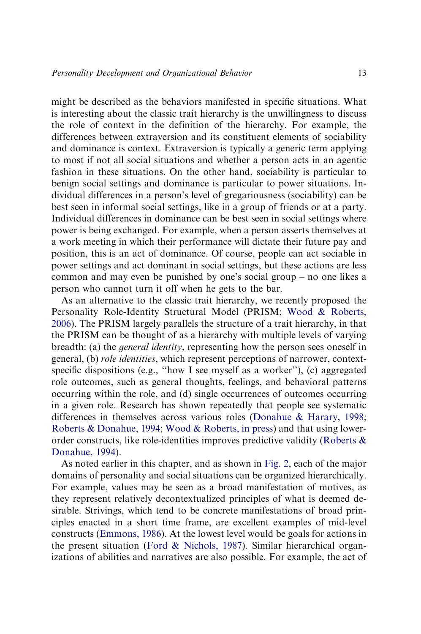might be described as the behaviors manifested in specific situations. What is interesting about the classic trait hierarchy is the unwillingness to discuss the role of context in the definition of the hierarchy. For example, the differences between extraversion and its constituent elements of sociability and dominance is context. Extraversion is typically a generic term applying to most if not all social situations and whether a person acts in an agentic fashion in these situations. On the other hand, sociability is particular to benign social settings and dominance is particular to power situations. Individual differences in a person's level of gregariousness (sociability) can be best seen in informal social settings, like in a group of friends or at a party. Individual differences in dominance can be best seen in social settings where power is being exchanged. For example, when a person asserts themselves at a work meeting in which their performance will dictate their future pay and position, this is an act of dominance. Of course, people can act sociable in power settings and act dominant in social settings, but these actions are less common and may even be punished by one's social group – no one likes a person who cannot turn it off when he gets to the bar.

As an alternative to the classic trait hierarchy, we recently proposed the Personality Role-Identity Structural Model (PRISM; [Wood & Roberts,](#page-39-0) [2006\)](#page-39-0). The PRISM largely parallels the structure of a trait hierarchy, in that the PRISM can be thought of as a hierarchy with multiple levels of varying breadth: (a) the *general identity*, representing how the person sees oneself in general, (b) *role identities*, which represent perceptions of narrower, contextspecific dispositions (e.g., ''how I see myself as a worker''), (c) aggregated role outcomes, such as general thoughts, feelings, and behavioral patterns occurring within the role, and (d) single occurrences of outcomes occurring in a given role. Research has shown repeatedly that people see systematic differences in themselves across various roles [\(Donahue](#page-34-0) & [Harary, 1998;](#page-34-0) [Roberts](#page-38-0) [& Donahue, 1994](#page-38-0); [Wood](#page-39-0) & [Roberts, in press\)](#page-39-0) and that using lowerorder constructs, like role-identities improves predictive validity ([Roberts &](#page-38-0) [Donahue, 1994](#page-38-0)).

As noted earlier in this chapter, and as shown in [Fig. 2,](#page-11-0) each of the major domains of personality and social situations can be organized hierarchically. For example, values may be seen as a broad manifestation of motives, as they represent relatively decontextualized principles of what is deemed desirable. Strivings, which tend to be concrete manifestations of broad principles enacted in a short time frame, are excellent examples of mid-level constructs [\(Emmons, 1986](#page-34-0)). At the lowest level would be goals for actions in the present situation [\(Ford](#page-35-0) & [Nichols, 1987\)](#page-35-0). Similar hierarchical organizations of abilities and narratives are also possible. For example, the act of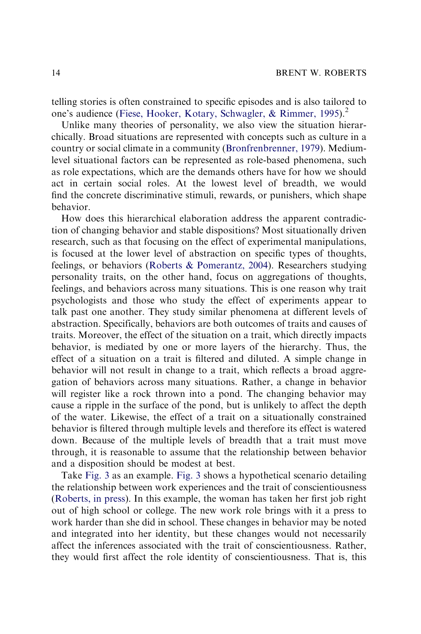telling stories is often constrained to specific episodes and is also tailored to one's audience [\(Fiese, Hooker, Kotary, Schwagler,](#page-35-0) [& Rimmer, 1995](#page-35-0)).<sup>2</sup>

Unlike many theories of personality, we also view the situation hierarchically. Broad situations are represented with concepts such as culture in a country or social climate in a community [\(Bronfrenbrenner, 1979\)](#page-34-0). Mediumlevel situational factors can be represented as role-based phenomena, such as role expectations, which are the demands others have for how we should act in certain social roles. At the lowest level of breadth, we would find the concrete discriminative stimuli, rewards, or punishers, which shape behavior.

How does this hierarchical elaboration address the apparent contradiction of changing behavior and stable dispositions? Most situationally driven research, such as that focusing on the effect of experimental manipulations, is focused at the lower level of abstraction on specific types of thoughts, feelings, or behaviors ([Roberts](#page-38-0) [& Pomerantz, 2004\)](#page-38-0). Researchers studying personality traits, on the other hand, focus on aggregations of thoughts, feelings, and behaviors across many situations. This is one reason why trait psychologists and those who study the effect of experiments appear to talk past one another. They study similar phenomena at different levels of abstraction. Specifically, behaviors are both outcomes of traits and causes of traits. Moreover, the effect of the situation on a trait, which directly impacts behavior, is mediated by one or more layers of the hierarchy. Thus, the effect of a situation on a trait is filtered and diluted. A simple change in behavior will not result in change to a trait, which reflects a broad aggregation of behaviors across many situations. Rather, a change in behavior will register like a rock thrown into a pond. The changing behavior may cause a ripple in the surface of the pond, but is unlikely to affect the depth of the water. Likewise, the effect of a trait on a situationally constrained behavior is filtered through multiple levels and therefore its effect is watered down. Because of the multiple levels of breadth that a trait must move through, it is reasonable to assume that the relationship between behavior and a disposition should be modest at best.

Take [Fig. 3](#page-14-0) as an example. [Fig. 3](#page-14-0) shows a hypothetical scenario detailing the relationship between work experiences and the trait of conscientiousness [\(Roberts, in press](#page-37-0)). In this example, the woman has taken her first job right out of high school or college. The new work role brings with it a press to work harder than she did in school. These changes in behavior may be noted and integrated into her identity, but these changes would not necessarily affect the inferences associated with the trait of conscientiousness. Rather, they would first affect the role identity of conscientiousness. That is, this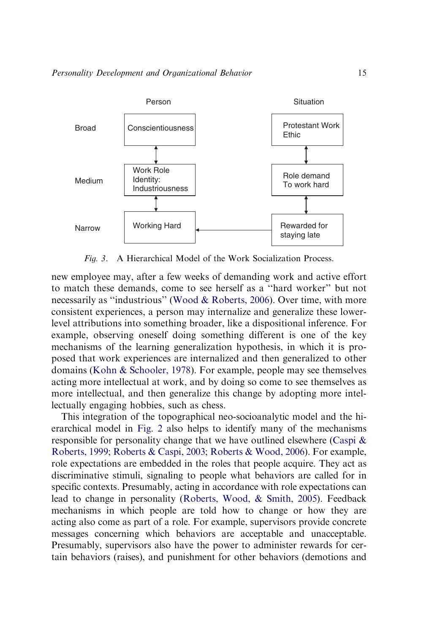<span id="page-14-0"></span>

Fig. 3. A Hierarchical Model of the Work Socialization Process.

new employee may, after a few weeks of demanding work and active effort to match these demands, come to see herself as a ''hard worker'' but not necessarily as ''industrious'' [\(Wood](#page-39-0) & [Roberts, 2006](#page-39-0)). Over time, with more consistent experiences, a person may internalize and generalize these lowerlevel attributions into something broader, like a dispositional inference. For example, observing oneself doing something different is one of the key mechanisms of the learning generalization hypothesis, in which it is proposed that work experiences are internalized and then generalized to other domains [\(Kohn](#page-36-0) [& Schooler, 1978](#page-36-0)). For example, people may see themselves acting more intellectual at work, and by doing so come to see themselves as more intellectual, and then generalize this change by adopting more intellectually engaging hobbies, such as chess.

This integration of the topographical neo-socioanalytic model and the hierarchical model in [Fig. 2](#page-11-0) also helps to identify many of the mechanisms responsible for personality change that we have outlined elsewhere (Caspi  $\&$ [Roberts, 1999;](#page-34-0) [Roberts & Caspi, 2003](#page-37-0); [Roberts](#page-38-0) & [Wood, 2006\)](#page-38-0). For example, role expectations are embedded in the roles that people acquire. They act as discriminative stimuli, signaling to people what behaviors are called for in specific contexts. Presumably, acting in accordance with role expectations can lead to change in personality ([Roberts, Wood,](#page-38-0) & [Smith, 2005\)](#page-38-0). Feedback mechanisms in which people are told how to change or how they are acting also come as part of a role. For example, supervisors provide concrete messages concerning which behaviors are acceptable and unacceptable. Presumably, supervisors also have the power to administer rewards for certain behaviors (raises), and punishment for other behaviors (demotions and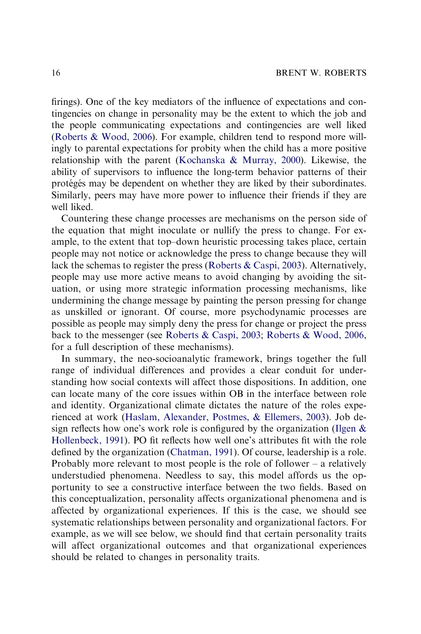firings). One of the key mediators of the influence of expectations and contingencies on change in personality may be the extent to which the job and the people communicating expectations and contingencies are well liked [\(Roberts & Wood, 2006\)](#page-38-0). For example, children tend to respond more willingly to parental expectations for probity when the child has a more positive relationship with the parent [\(Kochanska & Murray, 2000\)](#page-36-0). Likewise, the ability of supervisors to influence the long-term behavior patterns of their protégés may be dependent on whether they are liked by their subordinates. Similarly, peers may have more power to influence their friends if they are well liked.

Countering these change processes are mechanisms on the person side of the equation that might inoculate or nullify the press to change. For example, to the extent that top–down heuristic processing takes place, certain people may not notice or acknowledge the press to change because they will lack the schemas to register the press [\(Roberts & Caspi, 2003\)](#page-37-0). Alternatively, people may use more active means to avoid changing by avoiding the situation, or using more strategic information processing mechanisms, like undermining the change message by painting the person pressing for change as unskilled or ignorant. Of course, more psychodynamic processes are possible as people may simply deny the press for change or project the press back to the messenger (see [Roberts & Caspi, 2003](#page-37-0); [Roberts](#page-38-0) & [Wood, 2006,](#page-38-0) for a full description of these mechanisms).

In summary, the neo-socioanalytic framework, brings together the full range of individual differences and provides a clear conduit for understanding how social contexts will affect those dispositions. In addition, one can locate many of the core issues within OB in the interface between role and identity. Organizational climate dictates the nature of the roles experienced at work [\(Haslam, Alexander, Postmes,](#page-35-0) & [Ellemers, 2003\)](#page-35-0). Job design reflects how one's work role is configured by the organization (Ilgen  $\&$ [Hollenbeck, 1991](#page-36-0)). PO fit reflects how well one's attributes fit with the role defined by the organization ([Chatman, 1991](#page-34-0)). Of course, leadership is a role. Probably more relevant to most people is the role of follower – a relatively understudied phenomena. Needless to say, this model affords us the opportunity to see a constructive interface between the two fields. Based on this conceptualization, personality affects organizational phenomena and is affected by organizational experiences. If this is the case, we should see systematic relationships between personality and organizational factors. For example, as we will see below, we should find that certain personality traits will affect organizational outcomes and that organizational experiences should be related to changes in personality traits.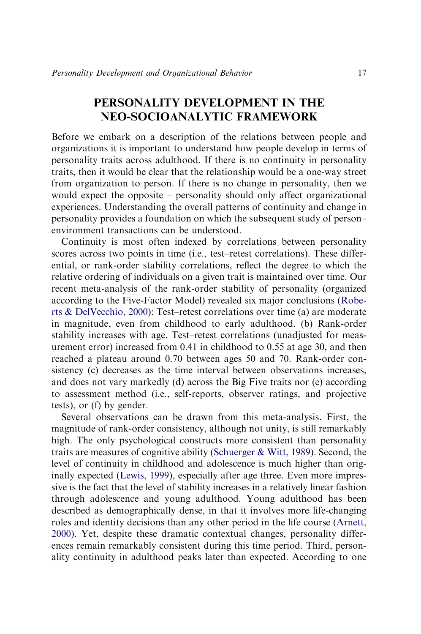# PERSONALITY DEVELOPMENT IN THE NEO-SOCIOANALYTIC FRAMEWORK

Before we embark on a description of the relations between people and organizations it is important to understand how people develop in terms of personality traits across adulthood. If there is no continuity in personality traits, then it would be clear that the relationship would be a one-way street from organization to person. If there is no change in personality, then we would expect the opposite – personality should only affect organizational experiences. Understanding the overall patterns of continuity and change in personality provides a foundation on which the subsequent study of person– environment transactions can be understood.

Continuity is most often indexed by correlations between personality scores across two points in time (i.e., test–retest correlations). These differential, or rank-order stability correlations, reflect the degree to which the relative ordering of individuals on a given trait is maintained over time. Our recent meta-analysis of the rank-order stability of personality (organized according to the Five-Factor Model) revealed six major conclusions [\(Robe](#page-37-0)[rts & DelVecchio, 2000\)](#page-37-0): Test–retest correlations over time (a) are moderate in magnitude, even from childhood to early adulthood. (b) Rank-order stability increases with age. Test–retest correlations (unadjusted for measurement error) increased from 0.41 in childhood to 0.55 at age 30, and then reached a plateau around 0.70 between ages 50 and 70. Rank-order consistency (c) decreases as the time interval between observations increases, and does not vary markedly (d) across the Big Five traits nor (e) according to assessment method (i.e., self-reports, observer ratings, and projective tests), or (f) by gender.

Several observations can be drawn from this meta-analysis. First, the magnitude of rank-order consistency, although not unity, is still remarkably high. The only psychological constructs more consistent than personality traits are measures of cognitive ability ([Schuerger & Witt, 1989](#page-38-0)). Second, the level of continuity in childhood and adolescence is much higher than originally expected ([Lewis, 1999](#page-36-0)), especially after age three. Even more impressive is the fact that the level of stability increases in a relatively linear fashion through adolescence and young adulthood. Young adulthood has been described as demographically dense, in that it involves more life-changing roles and identity decisions than any other period in the life course ([Arnett,](#page-33-0) [2000\)](#page-33-0). Yet, despite these dramatic contextual changes, personality differences remain remarkably consistent during this time period. Third, personality continuity in adulthood peaks later than expected. According to one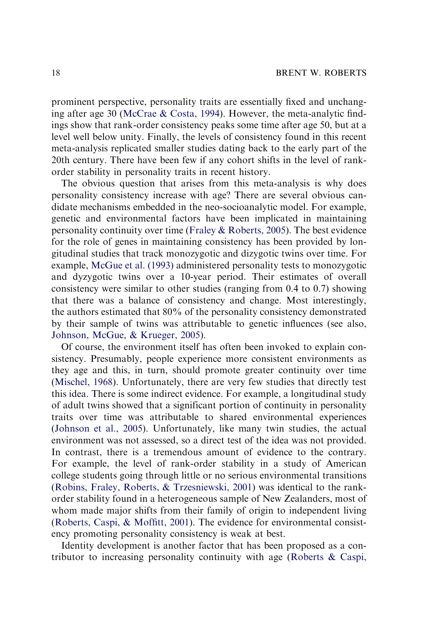prominent perspective, personality traits are essentially fixed and unchanging after age 30 ([McCrae & Costa, 1994](#page-36-0)). However, the meta-analytic findings show that rank-order consistency peaks some time after age 50, but at a level well below unity. Finally, the levels of consistency found in this recent meta-analysis replicated smaller studies dating back to the early part of the 20th century. There have been few if any cohort shifts in the level of rankorder stability in personality traits in recent history.

The obvious question that arises from this meta-analysis is why does personality consistency increase with age? There are several obvious candidate mechanisms embedded in the neo-socioanalytic model. For example, genetic and environmental factors have been implicated in maintaining personality continuity over time ([Fraley & Roberts, 2005\)](#page-35-0). The best evidence for the role of genes in maintaining consistency has been provided by longitudinal studies that track monozygotic and dizygotic twins over time. For example, [McGue et al. \(1993\)](#page-36-0) administered personality tests to monozygotic and dyzygotic twins over a 10-year period. Their estimates of overall consistency were similar to other studies (ranging from 0.4 to 0.7) showing that there was a balance of consistency and change. Most interestingly, the authors estimated that 80% of the personality consistency demonstrated by their sample of twins was attributable to genetic influences (see also, [Johnson, McGue, & Krueger, 2005](#page-36-0)).

Of course, the environment itself has often been invoked to explain consistency. Presumably, people experience more consistent environments as they age and this, in turn, should promote greater continuity over time [\(Mischel, 1968](#page-37-0)). Unfortunately, there are very few studies that directly test this idea. There is some indirect evidence. For example, a longitudinal study of adult twins showed that a significant portion of continuity in personality traits over time was attributable to shared environmental experiences [\(Johnson et al., 2005\)](#page-36-0). Unfortunately, like many twin studies, the actual environment was not assessed, so a direct test of the idea was not provided. In contrast, there is a tremendous amount of evidence to the contrary. For example, the level of rank-order stability in a study of American college students going through little or no serious environmental transitions [\(Robins, Fraley, Roberts, & Trzesniewski, 2001](#page-38-0)) was identical to the rankorder stability found in a heterogeneous sample of New Zealanders, most of whom made major shifts from their family of origin to independent living [\(Roberts, Caspi,](#page-37-0) & [Moffitt, 2001](#page-37-0)). The evidence for environmental consistency promoting personality consistency is weak at best.

Identity development is another factor that has been proposed as a contributor to increasing personality continuity with age ([Roberts](#page-37-0) [& Caspi,](#page-37-0)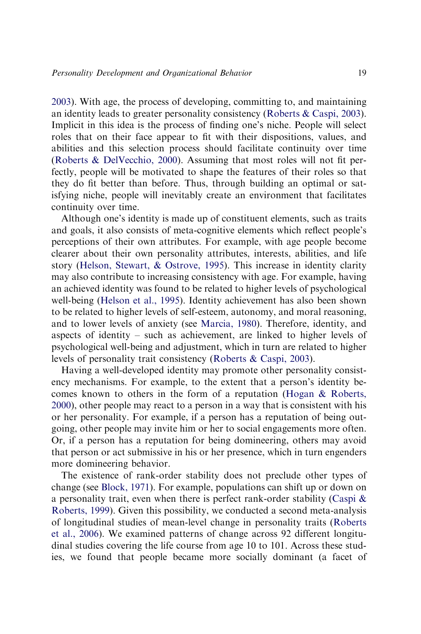[2003\)](#page-37-0). With age, the process of developing, committing to, and maintaining an identity leads to greater personality consistency [\(Roberts & Caspi, 2003\)](#page-37-0). Implicit in this idea is the process of finding one's niche. People will select roles that on their face appear to fit with their dispositions, values, and abilities and this selection process should facilitate continuity over time [\(Roberts](#page-37-0) & [DelVecchio, 2000\)](#page-37-0). Assuming that most roles will not fit perfectly, people will be motivated to shape the features of their roles so that they do fit better than before. Thus, through building an optimal or satisfying niche, people will inevitably create an environment that facilitates continuity over time.

Although one's identity is made up of constituent elements, such as traits and goals, it also consists of meta-cognitive elements which reflect people's perceptions of their own attributes. For example, with age people become clearer about their own personality attributes, interests, abilities, and life story ([Helson, Stewart, & Ostrove, 1995](#page-35-0)). This increase in identity clarity may also contribute to increasing consistency with age. For example, having an achieved identity was found to be related to higher levels of psychological well-being ([Helson et al., 1995](#page-35-0)). Identity achievement has also been shown to be related to higher levels of self-esteem, autonomy, and moral reasoning, and to lower levels of anxiety (see [Marcia, 1980\)](#page-36-0). Therefore, identity, and aspects of identity – such as achievement, are linked to higher levels of psychological well-being and adjustment, which in turn are related to higher levels of personality trait consistency [\(Roberts & Caspi, 2003](#page-37-0)).

Having a well-developed identity may promote other personality consistency mechanisms. For example, to the extent that a person's identity becomes known to others in the form of a reputation ([Hogan & Roberts,](#page-35-0) [2000\)](#page-35-0), other people may react to a person in a way that is consistent with his or her personality. For example, if a person has a reputation of being outgoing, other people may invite him or her to social engagements more often. Or, if a person has a reputation for being domineering, others may avoid that person or act submissive in his or her presence, which in turn engenders more domineering behavior.

The existence of rank-order stability does not preclude other types of change (see [Block, 1971](#page-33-0)). For example, populations can shift up or down on a personality trait, even when there is perfect rank-order stability (Caspi  $\&$ [Roberts, 1999](#page-34-0)). Given this possibility, we conducted a second meta-analysis of longitudinal studies of mean-level change in personality traits [\(Roberts](#page-38-0) [et al., 2006](#page-38-0)). We examined patterns of change across 92 different longitudinal studies covering the life course from age 10 to 101. Across these studies, we found that people became more socially dominant (a facet of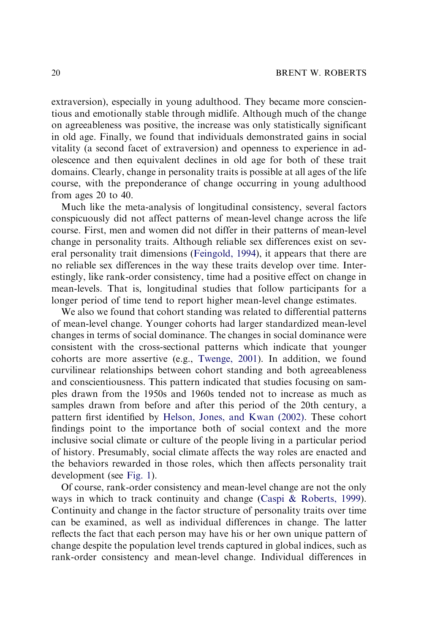extraversion), especially in young adulthood. They became more conscientious and emotionally stable through midlife. Although much of the change on agreeableness was positive, the increase was only statistically significant in old age. Finally, we found that individuals demonstrated gains in social vitality (a second facet of extraversion) and openness to experience in adolescence and then equivalent declines in old age for both of these trait domains. Clearly, change in personality traits is possible at all ages of the life course, with the preponderance of change occurring in young adulthood from ages 20 to 40.

Much like the meta-analysis of longitudinal consistency, several factors conspicuously did not affect patterns of mean-level change across the life course. First, men and women did not differ in their patterns of mean-level change in personality traits. Although reliable sex differences exist on several personality trait dimensions [\(Feingold, 1994](#page-34-0)), it appears that there are no reliable sex differences in the way these traits develop over time. Interestingly, like rank-order consistency, time had a positive effect on change in mean-levels. That is, longitudinal studies that follow participants for a longer period of time tend to report higher mean-level change estimates.

We also we found that cohort standing was related to differential patterns of mean-level change. Younger cohorts had larger standardized mean-level changes in terms of social dominance. The changes in social dominance were consistent with the cross-sectional patterns which indicate that younger cohorts are more assertive (e.g., [Twenge, 2001\)](#page-39-0). In addition, we found curvilinear relationships between cohort standing and both agreeableness and conscientiousness. This pattern indicated that studies focusing on samples drawn from the 1950s and 1960s tended not to increase as much as samples drawn from before and after this period of the 20th century, a pattern first identified by [Helson, Jones, and Kwan \(2002\).](#page-35-0) These cohort findings point to the importance both of social context and the more inclusive social climate or culture of the people living in a particular period of history. Presumably, social climate affects the way roles are enacted and the behaviors rewarded in those roles, which then affects personality trait development (see [Fig. 1](#page-5-0)).

Of course, rank-order consistency and mean-level change are not the only ways in which to track continuity and change [\(Caspi & Roberts, 1999\)](#page-34-0). Continuity and change in the factor structure of personality traits over time can be examined, as well as individual differences in change. The latter reflects the fact that each person may have his or her own unique pattern of change despite the population level trends captured in global indices, such as rank-order consistency and mean-level change. Individual differences in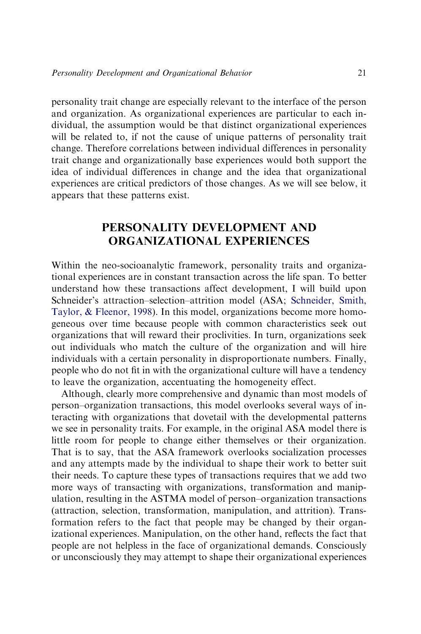personality trait change are especially relevant to the interface of the person and organization. As organizational experiences are particular to each individual, the assumption would be that distinct organizational experiences will be related to, if not the cause of unique patterns of personality trait change. Therefore correlations between individual differences in personality trait change and organizationally base experiences would both support the idea of individual differences in change and the idea that organizational experiences are critical predictors of those changes. As we will see below, it appears that these patterns exist.

# PERSONALITY DEVELOPMENT AND ORGANIZATIONAL EXPERIENCES

Within the neo-socioanalytic framework, personality traits and organizational experiences are in constant transaction across the life span. To better understand how these transactions affect development, I will build upon Schneider's attraction–selection–attrition model (ASA; [Schneider, Smith,](#page-38-0) [Taylor,](#page-38-0) & [Fleenor, 1998\)](#page-38-0). In this model, organizations become more homogeneous over time because people with common characteristics seek out organizations that will reward their proclivities. In turn, organizations seek out individuals who match the culture of the organization and will hire individuals with a certain personality in disproportionate numbers. Finally, people who do not fit in with the organizational culture will have a tendency to leave the organization, accentuating the homogeneity effect.

Although, clearly more comprehensive and dynamic than most models of person–organization transactions, this model overlooks several ways of interacting with organizations that dovetail with the developmental patterns we see in personality traits. For example, in the original ASA model there is little room for people to change either themselves or their organization. That is to say, that the ASA framework overlooks socialization processes and any attempts made by the individual to shape their work to better suit their needs. To capture these types of transactions requires that we add two more ways of transacting with organizations, transformation and manipulation, resulting in the ASTMA model of person–organization transactions (attraction, selection, transformation, manipulation, and attrition). Transformation refers to the fact that people may be changed by their organizational experiences. Manipulation, on the other hand, reflects the fact that people are not helpless in the face of organizational demands. Consciously or unconsciously they may attempt to shape their organizational experiences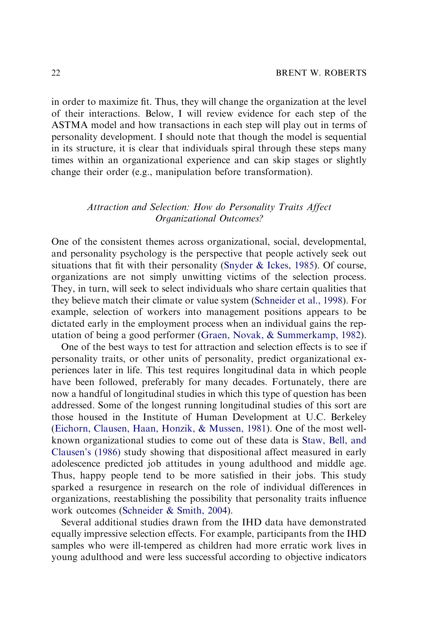in order to maximize fit. Thus, they will change the organization at the level of their interactions. Below, I will review evidence for each step of the ASTMA model and how transactions in each step will play out in terms of personality development. I should note that though the model is sequential in its structure, it is clear that individuals spiral through these steps many times within an organizational experience and can skip stages or slightly change their order (e.g., manipulation before transformation).

## Attraction and Selection: How do Personality Traits Affect Organizational Outcomes?

One of the consistent themes across organizational, social, developmental, and personality psychology is the perspective that people actively seek out situations that fit with their personality [\(Snyder & Ickes, 1985\)](#page-38-0). Of course, organizations are not simply unwitting victims of the selection process. They, in turn, will seek to select individuals who share certain qualities that they believe match their climate or value system ([Schneider et al., 1998](#page-38-0)). For example, selection of workers into management positions appears to be dictated early in the employment process when an individual gains the reputation of being a good performer ([Graen, Novak,](#page-35-0) [& Summerkamp, 1982\)](#page-35-0).

One of the best ways to test for attraction and selection effects is to see if personality traits, or other units of personality, predict organizational experiences later in life. This test requires longitudinal data in which people have been followed, preferably for many decades. Fortunately, there are now a handful of longitudinal studies in which this type of question has been addressed. Some of the longest running longitudinal studies of this sort are those housed in the Institute of Human Development at U.C. Berkeley [\(Eichorn, Clausen, Haan, Honzik,](#page-34-0) & [Mussen, 1981\)](#page-34-0). One of the most wellknown organizational studies to come out of these data is [Staw, Bell, and](#page-38-0) [Clausen's \(1986\)](#page-38-0) study showing that dispositional affect measured in early adolescence predicted job attitudes in young adulthood and middle age. Thus, happy people tend to be more satisfied in their jobs. This study sparked a resurgence in research on the role of individual differences in organizations, reestablishing the possibility that personality traits influence work outcomes [\(Schneider](#page-38-0) [& Smith, 2004\)](#page-38-0).

Several additional studies drawn from the IHD data have demonstrated equally impressive selection effects. For example, participants from the IHD samples who were ill-tempered as children had more erratic work lives in young adulthood and were less successful according to objective indicators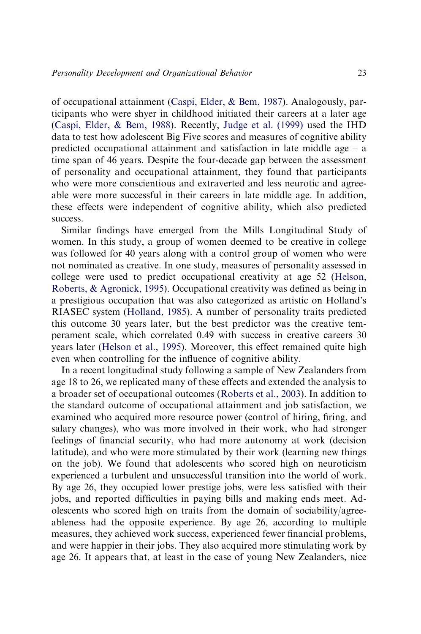of occupational attainment [\(Caspi, Elder, & Bem, 1987](#page-34-0)). Analogously, participants who were shyer in childhood initiated their careers at a later age [\(Caspi, Elder,](#page-34-0) & [Bem, 1988\)](#page-34-0). Recently, [Judge et al. \(1999\)](#page-36-0) used the IHD data to test how adolescent Big Five scores and measures of cognitive ability predicted occupational attainment and satisfaction in late middle age – a time span of 46 years. Despite the four-decade gap between the assessment of personality and occupational attainment, they found that participants who were more conscientious and extraverted and less neurotic and agreeable were more successful in their careers in late middle age. In addition, these effects were independent of cognitive ability, which also predicted success.

Similar findings have emerged from the Mills Longitudinal Study of women. In this study, a group of women deemed to be creative in college was followed for 40 years along with a control group of women who were not nominated as creative. In one study, measures of personality assessed in college were used to predict occupational creativity at age 52 ([Helson,](#page-35-0) [Roberts,](#page-35-0) & [Agronick, 1995\)](#page-35-0). Occupational creativity was defined as being in a prestigious occupation that was also categorized as artistic on Holland's RIASEC system ([Holland, 1985](#page-35-0)). A number of personality traits predicted this outcome 30 years later, but the best predictor was the creative temperament scale, which correlated 0.49 with success in creative careers 30 years later [\(Helson et al., 1995\)](#page-35-0). Moreover, this effect remained quite high even when controlling for the influence of cognitive ability.

In a recent longitudinal study following a sample of New Zealanders from age 18 to 26, we replicated many of these effects and extended the analysis to a broader set of occupational outcomes ([Roberts et al., 2003](#page-37-0)). In addition to the standard outcome of occupational attainment and job satisfaction, we examined who acquired more resource power (control of hiring, firing, and salary changes), who was more involved in their work, who had stronger feelings of financial security, who had more autonomy at work (decision latitude), and who were more stimulated by their work (learning new things on the job). We found that adolescents who scored high on neuroticism experienced a turbulent and unsuccessful transition into the world of work. By age 26, they occupied lower prestige jobs, were less satisfied with their jobs, and reported difficulties in paying bills and making ends meet. Adolescents who scored high on traits from the domain of sociability/agreeableness had the opposite experience. By age 26, according to multiple measures, they achieved work success, experienced fewer financial problems, and were happier in their jobs. They also acquired more stimulating work by age 26. It appears that, at least in the case of young New Zealanders, nice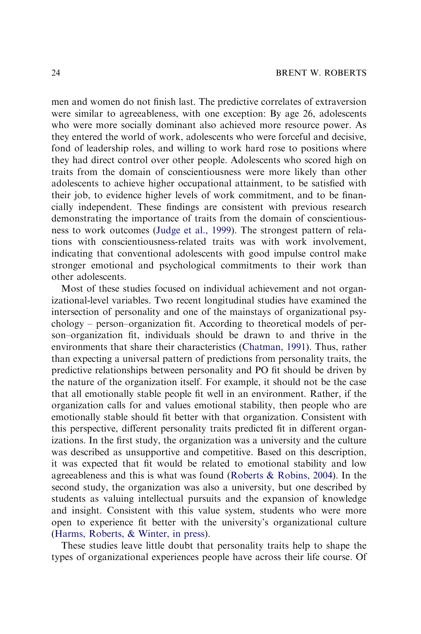men and women do not finish last. The predictive correlates of extraversion were similar to agreeableness, with one exception: By age 26, adolescents who were more socially dominant also achieved more resource power. As they entered the world of work, adolescents who were forceful and decisive, fond of leadership roles, and willing to work hard rose to positions where they had direct control over other people. Adolescents who scored high on traits from the domain of conscientiousness were more likely than other adolescents to achieve higher occupational attainment, to be satisfied with their job, to evidence higher levels of work commitment, and to be financially independent. These findings are consistent with previous research demonstrating the importance of traits from the domain of conscientiousness to work outcomes [\(Judge et al., 1999\)](#page-36-0). The strongest pattern of relations with conscientiousness-related traits was with work involvement, indicating that conventional adolescents with good impulse control make stronger emotional and psychological commitments to their work than other adolescents.

Most of these studies focused on individual achievement and not organizational-level variables. Two recent longitudinal studies have examined the intersection of personality and one of the mainstays of organizational psychology – person–organization fit. According to theoretical models of person–organization fit, individuals should be drawn to and thrive in the environments that share their characteristics [\(Chatman, 1991](#page-34-0)). Thus, rather than expecting a universal pattern of predictions from personality traits, the predictive relationships between personality and PO fit should be driven by the nature of the organization itself. For example, it should not be the case that all emotionally stable people fit well in an environment. Rather, if the organization calls for and values emotional stability, then people who are emotionally stable should fit better with that organization. Consistent with this perspective, different personality traits predicted fit in different organizations. In the first study, the organization was a university and the culture was described as unsupportive and competitive. Based on this description, it was expected that fit would be related to emotional stability and low agreeableness and this is what was found [\(Roberts](#page-38-0) & [Robins, 2004\)](#page-38-0). In the second study, the organization was also a university, but one described by students as valuing intellectual pursuits and the expansion of knowledge and insight. Consistent with this value system, students who were more open to experience fit better with the university's organizational culture [\(Harms, Roberts, & Winter, in press\)](#page-35-0).

These studies leave little doubt that personality traits help to shape the types of organizational experiences people have across their life course. Of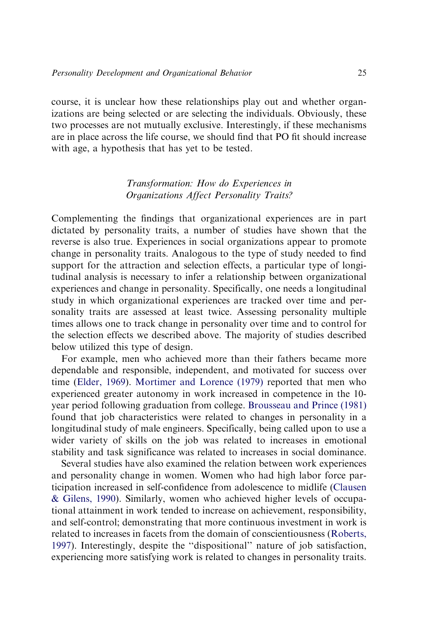course, it is unclear how these relationships play out and whether organizations are being selected or are selecting the individuals. Obviously, these two processes are not mutually exclusive. Interestingly, if these mechanisms are in place across the life course, we should find that PO fit should increase with age, a hypothesis that has yet to be tested.

## Transformation: How do Experiences in Organizations Affect Personality Traits?

Complementing the findings that organizational experiences are in part dictated by personality traits, a number of studies have shown that the reverse is also true. Experiences in social organizations appear to promote change in personality traits. Analogous to the type of study needed to find support for the attraction and selection effects, a particular type of longitudinal analysis is necessary to infer a relationship between organizational experiences and change in personality. Specifically, one needs a longitudinal study in which organizational experiences are tracked over time and personality traits are assessed at least twice. Assessing personality multiple times allows one to track change in personality over time and to control for the selection effects we described above. The majority of studies described below utilized this type of design.

For example, men who achieved more than their fathers became more dependable and responsible, independent, and motivated for success over time ([Elder, 1969\)](#page-34-0). [Mortimer and Lorence \(1979\)](#page-37-0) reported that men who experienced greater autonomy in work increased in competence in the 10 year period following graduation from college. [Brousseau and Prince \(1981\)](#page-34-0) found that job characteristics were related to changes in personality in a longitudinal study of male engineers. Specifically, being called upon to use a wider variety of skills on the job was related to increases in emotional stability and task significance was related to increases in social dominance.

Several studies have also examined the relation between work experiences and personality change in women. Women who had high labor force participation increased in self-confidence from adolescence to midlife [\(Clausen](#page-34-0) [& Gilens, 1990](#page-34-0)). Similarly, women who achieved higher levels of occupational attainment in work tended to increase on achievement, responsibility, and self-control; demonstrating that more continuous investment in work is related to increases in facets from the domain of conscientiousness ([Roberts,](#page-37-0) [1997\)](#page-37-0). Interestingly, despite the ''dispositional'' nature of job satisfaction, experiencing more satisfying work is related to changes in personality traits.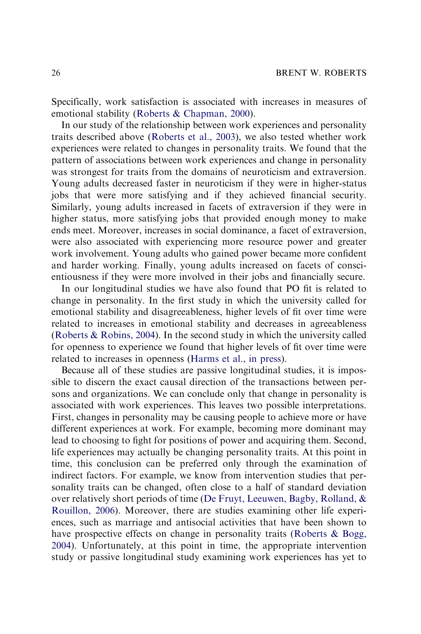Specifically, work satisfaction is associated with increases in measures of emotional stability ([Roberts](#page-37-0) & [Chapman, 2000](#page-37-0)).

In our study of the relationship between work experiences and personality traits described above ([Roberts et al., 2003](#page-37-0)), we also tested whether work experiences were related to changes in personality traits. We found that the pattern of associations between work experiences and change in personality was strongest for traits from the domains of neuroticism and extraversion. Young adults decreased faster in neuroticism if they were in higher-status jobs that were more satisfying and if they achieved financial security. Similarly, young adults increased in facets of extraversion if they were in higher status, more satisfying jobs that provided enough money to make ends meet. Moreover, increases in social dominance, a facet of extraversion, were also associated with experiencing more resource power and greater work involvement. Young adults who gained power became more confident and harder working. Finally, young adults increased on facets of conscientiousness if they were more involved in their jobs and financially secure.

In our longitudinal studies we have also found that PO fit is related to change in personality. In the first study in which the university called for emotional stability and disagreeableness, higher levels of fit over time were related to increases in emotional stability and decreases in agreeableness [\(Roberts & Robins, 2004\)](#page-38-0). In the second study in which the university called for openness to experience we found that higher levels of fit over time were related to increases in openness [\(Harms et al., in press](#page-35-0)).

Because all of these studies are passive longitudinal studies, it is impossible to discern the exact causal direction of the transactions between persons and organizations. We can conclude only that change in personality is associated with work experiences. This leaves two possible interpretations. First, changes in personality may be causing people to achieve more or have different experiences at work. For example, becoming more dominant may lead to choosing to fight for positions of power and acquiring them. Second, life experiences may actually be changing personality traits. At this point in time, this conclusion can be preferred only through the examination of indirect factors. For example, we know from intervention studies that personality traits can be changed, often close to a half of standard deviation over relatively short periods of time ([De Fruyt, Leeuwen, Bagby, Rolland, &](#page-34-0) [Rouillon, 2006\)](#page-34-0). Moreover, there are studies examining other life experiences, such as marriage and antisocial activities that have been shown to have prospective effects on change in personality traits [\(Roberts](#page-37-0) & [Bogg,](#page-37-0) [2004\)](#page-37-0). Unfortunately, at this point in time, the appropriate intervention study or passive longitudinal study examining work experiences has yet to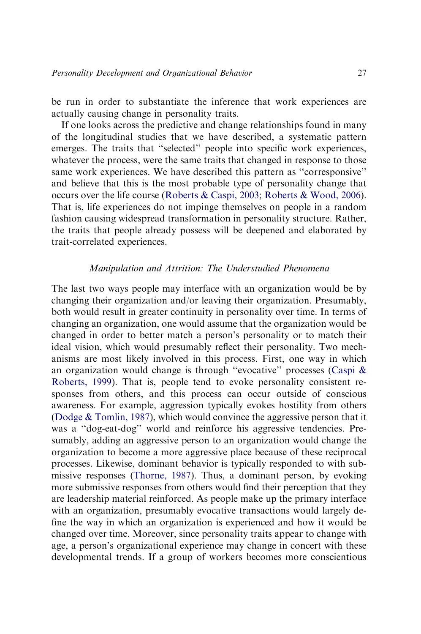be run in order to substantiate the inference that work experiences are actually causing change in personality traits.

If one looks across the predictive and change relationships found in many of the longitudinal studies that we have described, a systematic pattern emerges. The traits that ''selected'' people into specific work experiences, whatever the process, were the same traits that changed in response to those same work experiences. We have described this pattern as ''corresponsive'' and believe that this is the most probable type of personality change that occurs over the life course [\(Roberts & Caspi, 2003;](#page-37-0) [Roberts & Wood, 2006\)](#page-38-0). That is, life experiences do not impinge themselves on people in a random fashion causing widespread transformation in personality structure. Rather, the traits that people already possess will be deepened and elaborated by trait-correlated experiences.

#### Manipulation and Attrition: The Understudied Phenomena

The last two ways people may interface with an organization would be by changing their organization and/or leaving their organization. Presumably, both would result in greater continuity in personality over time. In terms of changing an organization, one would assume that the organization would be changed in order to better match a person's personality or to match their ideal vision, which would presumably reflect their personality. Two mechanisms are most likely involved in this process. First, one way in which an organization would change is through ''evocative'' processes ([Caspi &](#page-34-0) [Roberts, 1999](#page-34-0)). That is, people tend to evoke personality consistent responses from others, and this process can occur outside of conscious awareness. For example, aggression typically evokes hostility from others [\(Dodge](#page-34-0)  $&$  [Tomlin, 1987\)](#page-34-0), which would convince the aggressive person that it was a ''dog-eat-dog'' world and reinforce his aggressive tendencies. Presumably, adding an aggressive person to an organization would change the organization to become a more aggressive place because of these reciprocal processes. Likewise, dominant behavior is typically responded to with submissive responses ([Thorne, 1987\)](#page-39-0). Thus, a dominant person, by evoking more submissive responses from others would find their perception that they are leadership material reinforced. As people make up the primary interface with an organization, presumably evocative transactions would largely define the way in which an organization is experienced and how it would be changed over time. Moreover, since personality traits appear to change with age, a person's organizational experience may change in concert with these developmental trends. If a group of workers becomes more conscientious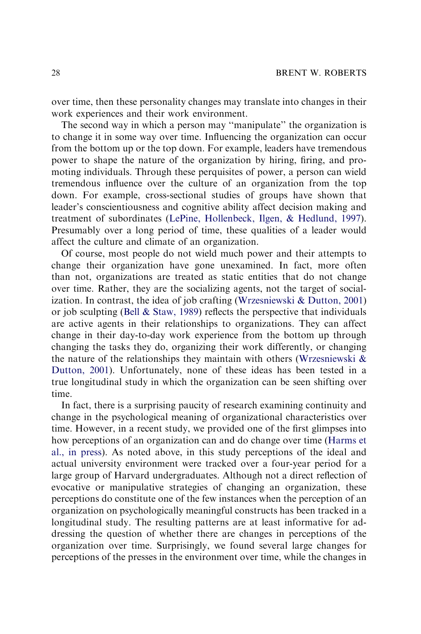over time, then these personality changes may translate into changes in their work experiences and their work environment.

The second way in which a person may ''manipulate'' the organization is to change it in some way over time. Influencing the organization can occur from the bottom up or the top down. For example, leaders have tremendous power to shape the nature of the organization by hiring, firing, and promoting individuals. Through these perquisites of power, a person can wield tremendous influence over the culture of an organization from the top down. For example, cross-sectional studies of groups have shown that leader's conscientiousness and cognitive ability affect decision making and treatment of subordinates [\(LePine, Hollenbeck, Ilgen, & Hedlund, 1997\)](#page-36-0). Presumably over a long period of time, these qualities of a leader would affect the culture and climate of an organization.

Of course, most people do not wield much power and their attempts to change their organization have gone unexamined. In fact, more often than not, organizations are treated as static entities that do not change over time. Rather, they are the socializing agents, not the target of socialization. In contrast, the idea of job crafting ([Wrzesniewski & Dutton, 2001](#page-39-0)) or job sculpting ([Bell](#page-33-0)  $&$  [Staw, 1989](#page-33-0)) reflects the perspective that individuals are active agents in their relationships to organizations. They can affect change in their day-to-day work experience from the bottom up through changing the tasks they do, organizing their work differently, or changing the nature of the relationships they maintain with others (Wrzesniewski  $\&$ [Dutton, 2001\)](#page-39-0). Unfortunately, none of these ideas has been tested in a true longitudinal study in which the organization can be seen shifting over time.

In fact, there is a surprising paucity of research examining continuity and change in the psychological meaning of organizational characteristics over time. However, in a recent study, we provided one of the first glimpses into how perceptions of an organization can and do change over time ([Harms et](#page-35-0) [al., in press](#page-35-0)). As noted above, in this study perceptions of the ideal and actual university environment were tracked over a four-year period for a large group of Harvard undergraduates. Although not a direct reflection of evocative or manipulative strategies of changing an organization, these perceptions do constitute one of the few instances when the perception of an organization on psychologically meaningful constructs has been tracked in a longitudinal study. The resulting patterns are at least informative for addressing the question of whether there are changes in perceptions of the organization over time. Surprisingly, we found several large changes for perceptions of the presses in the environment over time, while the changes in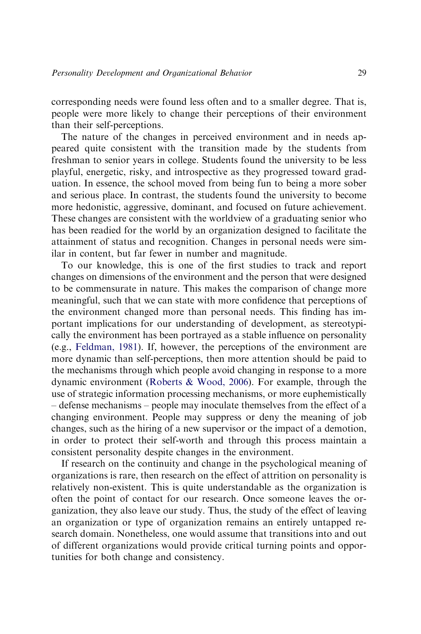corresponding needs were found less often and to a smaller degree. That is, people were more likely to change their perceptions of their environment than their self-perceptions.

The nature of the changes in perceived environment and in needs appeared quite consistent with the transition made by the students from freshman to senior years in college. Students found the university to be less playful, energetic, risky, and introspective as they progressed toward graduation. In essence, the school moved from being fun to being a more sober and serious place. In contrast, the students found the university to become more hedonistic, aggressive, dominant, and focused on future achievement. These changes are consistent with the worldview of a graduating senior who has been readied for the world by an organization designed to facilitate the attainment of status and recognition. Changes in personal needs were similar in content, but far fewer in number and magnitude.

To our knowledge, this is one of the first studies to track and report changes on dimensions of the environment and the person that were designed to be commensurate in nature. This makes the comparison of change more meaningful, such that we can state with more confidence that perceptions of the environment changed more than personal needs. This finding has important implications for our understanding of development, as stereotypically the environment has been portrayed as a stable influence on personality (e.g., [Feldman, 1981](#page-35-0)). If, however, the perceptions of the environment are more dynamic than self-perceptions, then more attention should be paid to the mechanisms through which people avoid changing in response to a more dynamic environment ([Roberts](#page-38-0) [& Wood, 2006](#page-38-0)). For example, through the use of strategic information processing mechanisms, or more euphemistically – defense mechanisms – people may inoculate themselves from the effect of a changing environment. People may suppress or deny the meaning of job changes, such as the hiring of a new supervisor or the impact of a demotion, in order to protect their self-worth and through this process maintain a consistent personality despite changes in the environment.

If research on the continuity and change in the psychological meaning of organizations is rare, then research on the effect of attrition on personality is relatively non-existent. This is quite understandable as the organization is often the point of contact for our research. Once someone leaves the organization, they also leave our study. Thus, the study of the effect of leaving an organization or type of organization remains an entirely untapped research domain. Nonetheless, one would assume that transitions into and out of different organizations would provide critical turning points and opportunities for both change and consistency.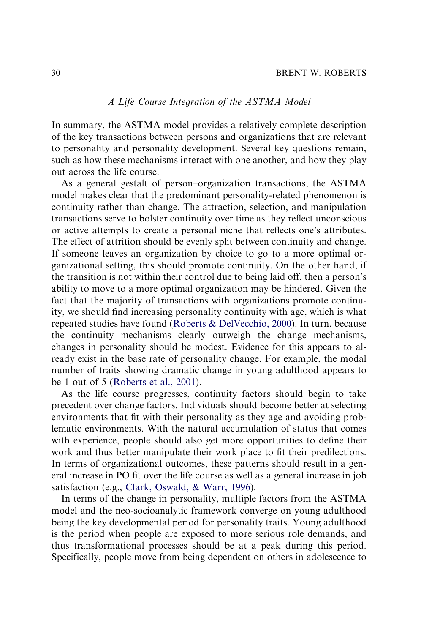## A Life Course Integration of the ASTMA Model

In summary, the ASTMA model provides a relatively complete description of the key transactions between persons and organizations that are relevant to personality and personality development. Several key questions remain, such as how these mechanisms interact with one another, and how they play out across the life course.

As a general gestalt of person–organization transactions, the ASTMA model makes clear that the predominant personality-related phenomenon is continuity rather than change. The attraction, selection, and manipulation transactions serve to bolster continuity over time as they reflect unconscious or active attempts to create a personal niche that reflects one's attributes. The effect of attrition should be evenly split between continuity and change. If someone leaves an organization by choice to go to a more optimal organizational setting, this should promote continuity. On the other hand, if the transition is not within their control due to being laid off, then a person's ability to move to a more optimal organization may be hindered. Given the fact that the majority of transactions with organizations promote continuity, we should find increasing personality continuity with age, which is what repeated studies have found [\(Roberts & DelVecchio, 2000\)](#page-37-0). In turn, because the continuity mechanisms clearly outweigh the change mechanisms, changes in personality should be modest. Evidence for this appears to already exist in the base rate of personality change. For example, the modal number of traits showing dramatic change in young adulthood appears to be 1 out of 5 ([Roberts et al., 2001\)](#page-37-0).

As the life course progresses, continuity factors should begin to take precedent over change factors. Individuals should become better at selecting environments that fit with their personality as they age and avoiding problematic environments. With the natural accumulation of status that comes with experience, people should also get more opportunities to define their work and thus better manipulate their work place to fit their predilections. In terms of organizational outcomes, these patterns should result in a general increase in PO fit over the life course as well as a general increase in job satisfaction (e.g., [Clark, Oswald, & Warr, 1996](#page-34-0)).

In terms of the change in personality, multiple factors from the ASTMA model and the neo-socioanalytic framework converge on young adulthood being the key developmental period for personality traits. Young adulthood is the period when people are exposed to more serious role demands, and thus transformational processes should be at a peak during this period. Specifically, people move from being dependent on others in adolescence to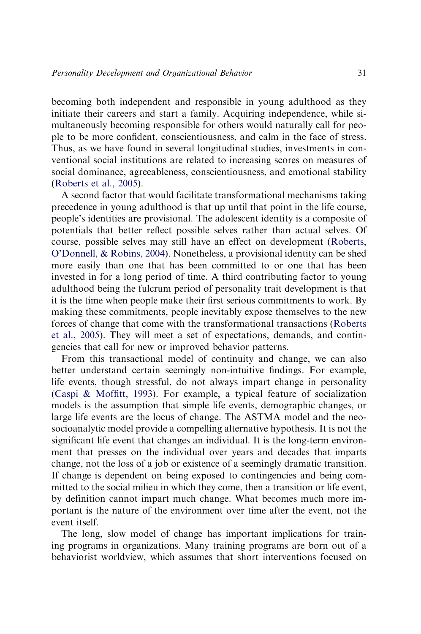becoming both independent and responsible in young adulthood as they initiate their careers and start a family. Acquiring independence, while simultaneously becoming responsible for others would naturally call for people to be more confident, conscientiousness, and calm in the face of stress. Thus, as we have found in several longitudinal studies, investments in conventional social institutions are related to increasing scores on measures of social dominance, agreeableness, conscientiousness, and emotional stability [\(Roberts et al., 2005\)](#page-38-0).

A second factor that would facilitate transformational mechanisms taking precedence in young adulthood is that up until that point in the life course, people's identities are provisional. The adolescent identity is a composite of potentials that better reflect possible selves rather than actual selves. Of course, possible selves may still have an effect on development ([Roberts,](#page-38-0) [O'Donnell, & Robins, 2004\)](#page-38-0). Nonetheless, a provisional identity can be shed more easily than one that has been committed to or one that has been invested in for a long period of time. A third contributing factor to young adulthood being the fulcrum period of personality trait development is that it is the time when people make their first serious commitments to work. By making these commitments, people inevitably expose themselves to the new forces of change that come with the transformational transactions [\(Roberts](#page-38-0) [et al., 2005](#page-38-0)). They will meet a set of expectations, demands, and contingencies that call for new or improved behavior patterns.

From this transactional model of continuity and change, we can also better understand certain seemingly non-intuitive findings. For example, life events, though stressful, do not always impart change in personality [\(Caspi](#page-34-0) & [Moffitt, 1993](#page-34-0)). For example, a typical feature of socialization models is the assumption that simple life events, demographic changes, or large life events are the locus of change. The ASTMA model and the neosocioanalytic model provide a compelling alternative hypothesis. It is not the significant life event that changes an individual. It is the long-term environment that presses on the individual over years and decades that imparts change, not the loss of a job or existence of a seemingly dramatic transition. If change is dependent on being exposed to contingencies and being committed to the social milieu in which they come, then a transition or life event, by definition cannot impart much change. What becomes much more important is the nature of the environment over time after the event, not the event itself.

The long, slow model of change has important implications for training programs in organizations. Many training programs are born out of a behaviorist worldview, which assumes that short interventions focused on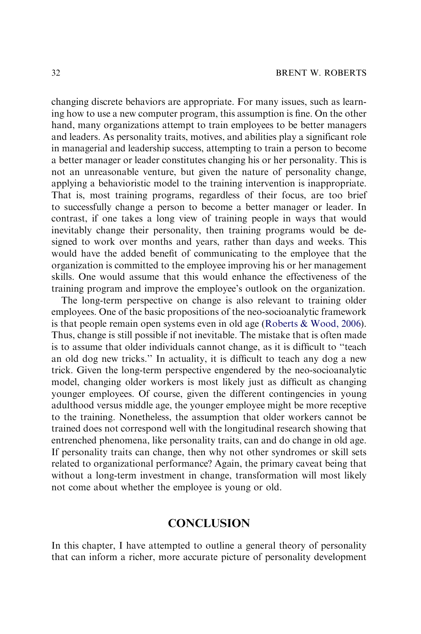changing discrete behaviors are appropriate. For many issues, such as learning how to use a new computer program, this assumption is fine. On the other hand, many organizations attempt to train employees to be better managers and leaders. As personality traits, motives, and abilities play a significant role in managerial and leadership success, attempting to train a person to become a better manager or leader constitutes changing his or her personality. This is not an unreasonable venture, but given the nature of personality change, applying a behavioristic model to the training intervention is inappropriate. That is, most training programs, regardless of their focus, are too brief to successfully change a person to become a better manager or leader. In contrast, if one takes a long view of training people in ways that would inevitably change their personality, then training programs would be designed to work over months and years, rather than days and weeks. This would have the added benefit of communicating to the employee that the organization is committed to the employee improving his or her management skills. One would assume that this would enhance the effectiveness of the training program and improve the employee's outlook on the organization.

The long-term perspective on change is also relevant to training older employees. One of the basic propositions of the neo-socioanalytic framework is that people remain open systems even in old age [\(Roberts & Wood, 2006\)](#page-38-0). Thus, change is still possible if not inevitable. The mistake that is often made is to assume that older individuals cannot change, as it is difficult to ''teach an old dog new tricks.'' In actuality, it is difficult to teach any dog a new trick. Given the long-term perspective engendered by the neo-socioanalytic model, changing older workers is most likely just as difficult as changing younger employees. Of course, given the different contingencies in young adulthood versus middle age, the younger employee might be more receptive to the training. Nonetheless, the assumption that older workers cannot be trained does not correspond well with the longitudinal research showing that entrenched phenomena, like personality traits, can and do change in old age. If personality traits can change, then why not other syndromes or skill sets related to organizational performance? Again, the primary caveat being that without a long-term investment in change, transformation will most likely not come about whether the employee is young or old.

# **CONCLUSION**

In this chapter, I have attempted to outline a general theory of personality that can inform a richer, more accurate picture of personality development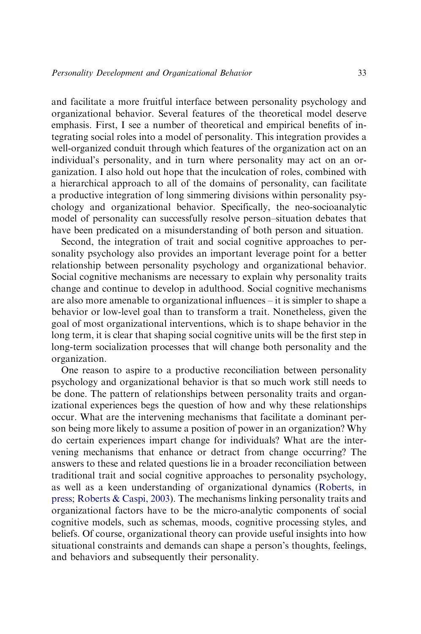and facilitate a more fruitful interface between personality psychology and organizational behavior. Several features of the theoretical model deserve emphasis. First, I see a number of theoretical and empirical benefits of integrating social roles into a model of personality. This integration provides a well-organized conduit through which features of the organization act on an individual's personality, and in turn where personality may act on an organization. I also hold out hope that the inculcation of roles, combined with a hierarchical approach to all of the domains of personality, can facilitate a productive integration of long simmering divisions within personality psychology and organizational behavior. Specifically, the neo-socioanalytic model of personality can successfully resolve person–situation debates that have been predicated on a misunderstanding of both person and situation.

Second, the integration of trait and social cognitive approaches to personality psychology also provides an important leverage point for a better relationship between personality psychology and organizational behavior. Social cognitive mechanisms are necessary to explain why personality traits change and continue to develop in adulthood. Social cognitive mechanisms are also more amenable to organizational influences – it is simpler to shape a behavior or low-level goal than to transform a trait. Nonetheless, given the goal of most organizational interventions, which is to shape behavior in the long term, it is clear that shaping social cognitive units will be the first step in long-term socialization processes that will change both personality and the organization.

One reason to aspire to a productive reconciliation between personality psychology and organizational behavior is that so much work still needs to be done. The pattern of relationships between personality traits and organizational experiences begs the question of how and why these relationships occur. What are the intervening mechanisms that facilitate a dominant person being more likely to assume a position of power in an organization? Why do certain experiences impart change for individuals? What are the intervening mechanisms that enhance or detract from change occurring? The answers to these and related questions lie in a broader reconciliation between traditional trait and social cognitive approaches to personality psychology, as well as a keen understanding of organizational dynamics [\(Roberts, in](#page-37-0) [press;](#page-37-0) [Roberts](#page-37-0) & [Caspi, 2003](#page-37-0)). The mechanisms linking personality traits and organizational factors have to be the micro-analytic components of social cognitive models, such as schemas, moods, cognitive processing styles, and beliefs. Of course, organizational theory can provide useful insights into how situational constraints and demands can shape a person's thoughts, feelings, and behaviors and subsequently their personality.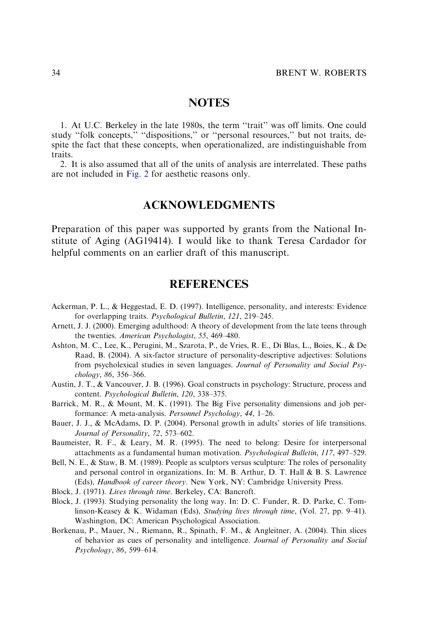# **NOTES**

<span id="page-33-0"></span>1. At U.C. Berkeley in the late 1980s, the term ''trait'' was off limits. One could study ''folk concepts,'' ''dispositions,'' or ''personal resources,'' but not traits, despite the fact that these concepts, when operationalized, are indistinguishable from traits.

2. It is also assumed that all of the units of analysis are interrelated. These paths are not included in [Fig. 2](#page-11-0) for aesthetic reasons only.

# ACKNOWLEDGMENTS

Preparation of this paper was supported by grants from the National Institute of Aging (AG19414). I would like to thank Teresa Cardador for helpful comments on an earlier draft of this manuscript.

# **REFERENCES**

- Ackerman, P. L., & Heggestad, E. D. (1997). Intelligence, personality, and interests: Evidence for overlapping traits. Psychological Bulletin, 121, 219–245.
- Arnett, J. J. (2000). Emerging adulthood: A theory of development from the late teens through the twenties. American Psychologist, 55, 469–480.
- Ashton, M. C., Lee, K., Perugini, M., Szarota, P., de Vries, R. E., Di Blas, L., Boies, K., & De Raad, B. (2004). A six-factor structure of personality-descriptive adjectives: Solutions from psycholexical studies in seven languages. Journal of Personality and Social Psychology, 86, 356–366.
- Austin, J. T., & Vancouver, J. B. (1996). Goal constructs in psychology: Structure, process and content. Psychological Bulletin, 120, 338–375.
- Barrick, M. R., & Mount, M. K. (1991). The Big Five personality dimensions and job performance: A meta-analysis. Personnel Psychology, 44, 1–26.
- Bauer, J. J., & McAdams, D. P. (2004). Personal growth in adults' stories of life transitions. Journal of Personality, 72, 573–602.
- Baumeister, R. F., & Leary, M. R. (1995). The need to belong: Desire for interpersonal attachments as a fundamental human motivation. Psychological Bulletin, 117, 497–529.
- Bell, N. E., & Staw, B. M. (1989). People as sculptors versus sculpture: The roles of personality and personal control in organizations. In: M. B. Arthur, D. T. Hall & B. S. Lawrence (Eds), Handbook of career theory. New York, NY: Cambridge University Press.
- Block, J. (1971). Lives through time. Berkeley, CA: Bancroft.
- Block, J. (1993). Studying personality the long way. In: D. C. Funder, R. D. Parke, C. Tomlinson-Keasey & K. Widaman (Eds), Studying lives through time, (Vol. 27, pp. 9–41). Washington, DC: American Psychological Association.
- Borkenau, P., Mauer, N., Riemann, R., Spinath, F. M., & Angleitner, A. (2004). Thin slices of behavior as cues of personality and intelligence. Journal of Personality and Social Psychology, 86, 599–614.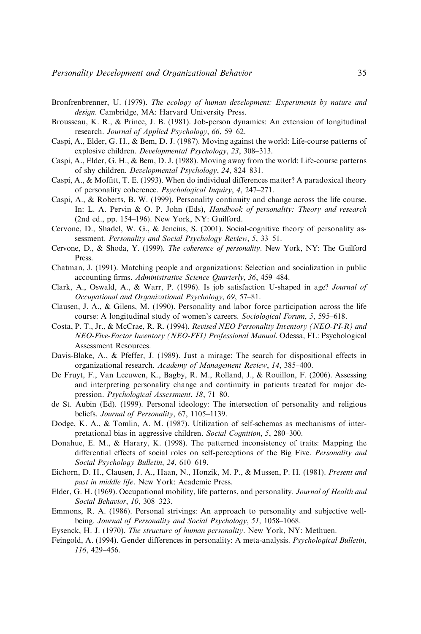- <span id="page-34-0"></span>Bronfrenbrenner, U. (1979). The ecology of human development: Experiments by nature and design. Cambridge, MA: Harvard University Press.
- Brousseau, K. R., & Prince, J. B. (1981). Job-person dynamics: An extension of longitudinal research. Journal of Applied Psychology, 66, 59–62.
- Caspi, A., Elder, G. H., & Bem, D. J. (1987). Moving against the world: Life-course patterns of explosive children. Developmental Psychology, 23, 308–313.
- Caspi, A., Elder, G. H., & Bem, D. J. (1988). Moving away from the world: Life-course patterns of shy children. Developmental Psychology, 24, 824–831.
- Caspi, A., & Moffitt, T. E. (1993). When do individual differences matter? A paradoxical theory of personality coherence. Psychological Inquiry, 4, 247–271.
- Caspi, A., & Roberts, B. W. (1999). Personality continuity and change across the life course. In: L. A. Pervin & O. P. John (Eds), Handbook of personality: Theory and research (2nd ed., pp. 154–196). New York, NY: Guilford.
- Cervone, D., Shadel, W. G., & Jencius, S. (2001). Social-cognitive theory of personality assessment. Personality and Social Psychology Review, 5, 33-51.
- Cervone, D., & Shoda, Y. (1999). The coherence of personality. New York, NY: The Guilford Press.
- Chatman, J. (1991). Matching people and organizations: Selection and socialization in public accounting firms. Administrative Science Quarterly, 36, 459–484.
- Clark, A., Oswald, A., & Warr, P. (1996). Is job satisfaction U-shaped in age? Journal of Occupational and Organizational Psychology, 69, 57–81.
- Clausen, J. A., & Gilens, M. (1990). Personality and labor force participation across the life course: A longitudinal study of women's careers. Sociological Forum, 5, 595–618.
- Costa, P. T., Jr., & McCrae, R. R. (1994). Revised NEO Personality Inventory (NEO-PI-R) and NEO-Five-Factor Inventory (NEO-FFI) Professional Manual. Odessa, FL: Psychological Assessment Resources.
- Davis-Blake, A., & Pfeffer, J. (1989). Just a mirage: The search for dispositional effects in organizational research. Academy of Management Review, 14, 385–400.
- De Fruyt, F., Van Leeuwen, K., Bagby, R. M., Rolland, J., & Rouillon, F. (2006). Assessing and interpreting personality change and continuity in patients treated for major depression. Psychological Assessment, 18, 71–80.
- de St. Aubin (Ed). (1999). Personal ideology: The intersection of personality and religious beliefs. Journal of Personality, 67, 1105–1139.
- Dodge, K. A., & Tomlin, A. M. (1987). Utilization of self-schemas as mechanisms of interpretational bias in aggressive children. Social Cognition, 5, 280–300.
- Donahue, E. M., & Harary, K. (1998). The patterned inconsistency of traits: Mapping the differential effects of social roles on self-perceptions of the Big Five. Personality and Social Psychology Bulletin, 24, 610–619.
- Eichorn, D. H., Clausen, J. A., Haan, N., Honzik, M. P., & Mussen, P. H. (1981). Present and past in middle life. New York: Academic Press.
- Elder, G. H. (1969). Occupational mobility, life patterns, and personality. Journal of Health and Social Behavior, 10, 308–323.
- Emmons, R. A. (1986). Personal strivings: An approach to personality and subjective wellbeing. Journal of Personality and Social Psychology, 51, 1058-1068.
- Eysenck, H. J. (1970). The structure of human personality. New York, NY: Methuen.
- Feingold, A. (1994). Gender differences in personality: A meta-analysis. *Psychological Bulletin*, 116, 429–456.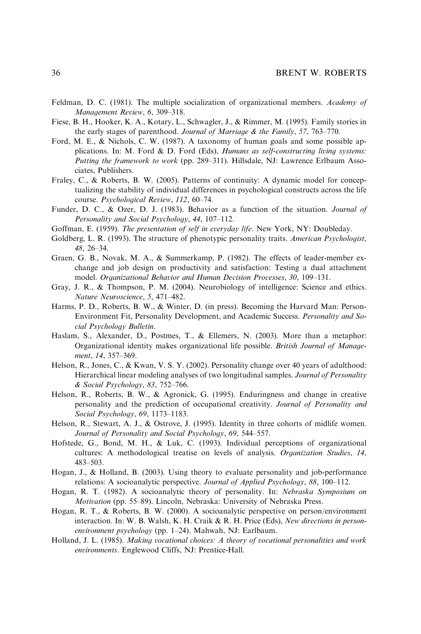#### <span id="page-35-0"></span>36 BRENT W. ROBERTS

- Feldman, D. C. (1981). The multiple socialization of organizational members. Academy of Management Review, 6, 309–318.
- Fiese, B. H., Hooker, K. A., Kotary, L., Schwagler, J., & Rimmer, M. (1995). Family stories in the early stages of parenthood. Journal of Marriage & the Family, 57, 763–770.
- Ford, M. E., & Nichols, C. W. (1987). A taxonomy of human goals and some possible applications. In: M. Ford & D. Ford (Eds), Humans as self-constructing living systems: Putting the framework to work (pp. 289–311). Hillsdale, NJ: Lawrence Erlbaum Associates, Publishers.
- Fraley, C., & Roberts, B. W. (2005). Patterns of continuity: A dynamic model for conceptualizing the stability of individual differences in psychological constructs across the life course. Psychological Review, 112, 60–74.
- Funder, D. C., & Ozer, D. J. (1983). Behavior as a function of the situation. Journal of Personality and Social Psychology, 44, 107–112.
- Goffman, E. (1959). The presentation of self in everyday life. New York, NY: Doubleday.
- Goldberg, L. R. (1993). The structure of phenotypic personality traits. American Psychologist, 48, 26–34.
- Graen, G. B., Novak, M. A., & Summerkamp, P. (1982). The effects of leader-member exchange and job design on productivity and satisfaction: Testing a dual attachment model. Organizational Behavior and Human Decision Processes, 30, 109–131.
- Gray, J. R., & Thompson, P. M. (2004). Neurobiology of intelligence: Science and ethics. Nature Neuroscience, 5, 471–482.
- Harms, P. D., Roberts, B. W., & Winter, D. (in press). Becoming the Harvard Man: Person-Environment Fit, Personality Development, and Academic Success. Personality and Social Psychology Bulletin.
- Haslam, S., Alexander, D., Postmes, T., & Ellemers, N. (2003). More than a metaphor: Organizational identity makes organizational life possible. British Journal of Management, 14, 357–369.
- Helson, R., Jones, C., & Kwan, V. S. Y. (2002). Personality change over 40 years of adulthood: Hierarchical linear modeling analyses of two longitudinal samples. Journal of Personality & Social Psychology, 83, 752–766.
- Helson, R., Roberts, B. W., & Agronick, G. (1995). Enduringness and change in creative personality and the prediction of occupational creativity. Journal of Personality and Social Psychology, 69, 1173–1183.
- Helson, R., Stewart, A. J., & Ostrove, J. (1995). Identity in three cohorts of midlife women. Journal of Personality and Social Psychology, 69, 544–557.
- Hofstede, G., Bond, M. H., & Luk, C. (1993). Individual perceptions of organizational cultures: A methodological treatise on levels of analysis. Organization Studies, 14, 483–503.
- Hogan, J., & Holland, B. (2003). Using theory to evaluate personality and job-performance relations: A socioanalytic perspective. Journal of Applied Psychology, 88, 100–112.
- Hogan, R. T. (1982). A socioanalytic theory of personality. In: Nebraska Symposium on Motivation (pp. 55–89). Lincoln, Nebraska: University of Nebraska Press.
- Hogan, R. T., & Roberts, B. W. (2000). A socioanalytic perspective on person/environment interaction. In: W. B. Walsh, K. H. Craik & R. H. Price (Eds), New directions in personenvironment psychology (pp. 1–24). Mahwah, NJ: Earlbaum.
- Holland, J. L. (1985). Making vocational choices: A theory of vocational personalities and work environments. Englewood Cliffs, NJ: Prentice-Hall.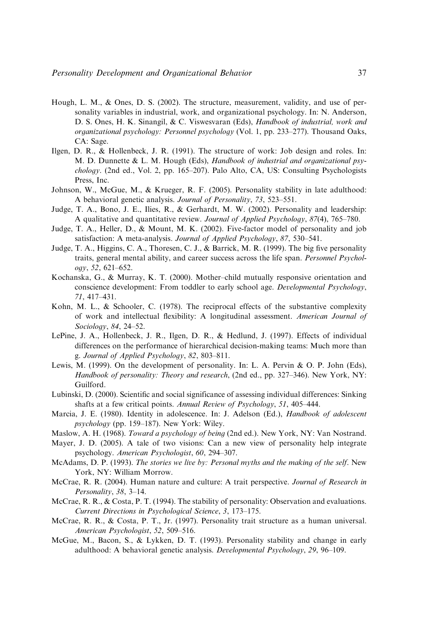- <span id="page-36-0"></span>Hough, L. M., & Ones, D. S. (2002). The structure, measurement, validity, and use of personality variables in industrial, work, and organizational psychology. In: N. Anderson, D. S. Ones, H. K. Sinangil, & C. Viswesvaran (Eds), Handbook of industrial, work and organizational psychology: Personnel psychology (Vol. 1, pp. 233–277). Thousand Oaks, CA: Sage.
- Ilgen, D. R., & Hollenbeck, J. R. (1991). The structure of work: Job design and roles. In: M. D. Dunnette  $&L. M.$  Hough (Eds), Handbook of industrial and organizational psychology. (2nd ed., Vol. 2, pp. 165–207). Palo Alto, CA, US: Consulting Psychologists Press, Inc.
- Johnson, W., McGue, M., & Krueger, R. F. (2005). Personality stability in late adulthood: A behavioral genetic analysis. Journal of Personality, 73, 523–551.
- Judge, T. A., Bono, J. E., Ilies, R., & Gerhardt, M. W. (2002). Personality and leadership: A qualitative and quantitative review. Journal of Applied Psychology, 87(4), 765–780.
- Judge, T. A., Heller, D., & Mount, M. K. (2002). Five-factor model of personality and job satisfaction: A meta-analysis. Journal of Applied Psychology, 87, 530–541.
- Judge, T. A., Higgins, C. A., Thoresen, C. J., & Barrick, M. R. (1999). The big five personality traits, general mental ability, and career success across the life span. Personnel Psychology, 52, 621–652.
- Kochanska, G., & Murray, K. T. (2000). Mother–child mutually responsive orientation and conscience development: From toddler to early school age. Developmental Psychology, 71, 417–431.
- Kohn, M. L., & Schooler, C. (1978). The reciprocal effects of the substantive complexity of work and intellectual flexibility: A longitudinal assessment. American Journal of Sociology, 84, 24–52.
- LePine, J. A., Hollenbeck, J. R., Ilgen, D. R., & Hedlund, J. (1997). Effects of individual differences on the performance of hierarchical decision-making teams: Much more than g. Journal of Applied Psychology, 82, 803–811.
- Lewis, M. (1999). On the development of personality. In: L. A. Pervin & O. P. John (Eds), Handbook of personality: Theory and research, (2nd ed., pp. 327–346). New York, NY: Guilford.
- Lubinski, D. (2000). Scientific and social significance of assessing individual differences: Sinking shafts at a few critical points. Annual Review of Psychology, 51, 405–444.
- Marcia, J. E. (1980). Identity in adolescence. In: J. Adelson (Ed.), *Handbook of adolescent* psychology (pp. 159–187). New York: Wiley.
- Maslow, A. H. (1968). Toward a psychology of being (2nd ed.). New York, NY: Van Nostrand.
- Mayer, J. D. (2005). A tale of two visions: Can a new view of personality help integrate psychology. American Psychologist, 60, 294–307.
- McAdams, D. P. (1993). The stories we live by: Personal myths and the making of the self. New York, NY: William Morrow.
- McCrae, R. R. (2004). Human nature and culture: A trait perspective. Journal of Research in Personality, 38, 3–14.
- McCrae, R. R., & Costa, P. T. (1994). The stability of personality: Observation and evaluations. Current Directions in Psychological Science, 3, 173–175.
- McCrae, R. R., & Costa, P. T., Jr. (1997). Personality trait structure as a human universal. American Psychologist, 52, 509–516.
- McGue, M., Bacon, S., & Lykken, D. T. (1993). Personality stability and change in early adulthood: A behavioral genetic analysis. Developmental Psychology, 29, 96–109.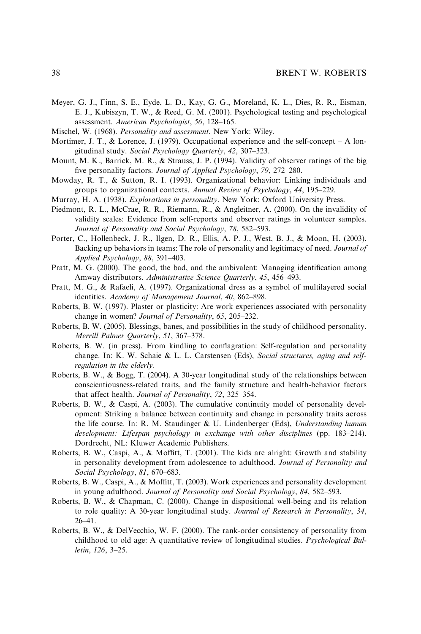- <span id="page-37-0"></span>Meyer, G. J., Finn, S. E., Eyde, L. D., Kay, G. G., Moreland, K. L., Dies, R. R., Eisman, E. J., Kubiszyn, T. W., & Reed, G. M. (2001). Psychological testing and psychological assessment. American Psychologist, 56, 128–165.
- Mischel, W. (1968). Personality and assessment. New York: Wiley.
- Mortimer, J. T., & Lorence, J. (1979). Occupational experience and the self-concept  $A$  longitudinal study. Social Psychology Quarterly, 42, 307–323.
- Mount, M. K., Barrick, M. R., & Strauss, J. P. (1994). Validity of observer ratings of the big five personality factors. Journal of Applied Psychology, 79, 272–280.
- Mowday, R. T., & Sutton, R. I. (1993). Organizational behavior: Linking individuals and groups to organizational contexts. Annual Review of Psychology, 44, 195–229.
- Murray, H. A. (1938). *Explorations in personality*. New York: Oxford University Press.
- Piedmont, R. L., McCrae, R. R., Riemann, R., & Angleitner, A. (2000). On the invalidity of validity scales: Evidence from self-reports and observer ratings in volunteer samples. Journal of Personality and Social Psychology, 78, 582–593.
- Porter, C., Hollenbeck, J. R., Ilgen, D. R., Ellis, A. P. J., West, B. J., & Moon, H. (2003). Backing up behaviors in teams: The role of personality and legitimacy of need. Journal of Applied Psychology, 88, 391–403.
- Pratt, M. G. (2000). The good, the bad, and the ambivalent: Managing identification among Amway distributors. Administrative Science Quarterly, 45, 456–493.
- Pratt, M. G., & Rafaeli, A. (1997). Organizational dress as a symbol of multilayered social identities. Academy of Management Journal, 40, 862–898.
- Roberts, B. W. (1997). Plaster or plasticity: Are work experiences associated with personality change in women? Journal of Personality, 65, 205–232.
- Roberts, B. W. (2005). Blessings, banes, and possibilities in the study of childhood personality. Merrill Palmer Quarterly, 51, 367–378.
- Roberts, B. W. (in press). From kindling to conflagration: Self-regulation and personality change. In: K. W. Schaie & L. L. Carstensen (Eds), Social structures, aging and selfregulation in the elderly.
- Roberts, B. W., & Bogg, T. (2004). A 30-year longitudinal study of the relationships between conscientiousness-related traits, and the family structure and health-behavior factors that affect health. Journal of Personality, 72, 325–354.
- Roberts, B. W., & Caspi, A. (2003). The cumulative continuity model of personality development: Striking a balance between continuity and change in personality traits across the life course. In: R. M. Staudinger & U. Lindenberger (Eds), Understanding human development: Lifespan psychology in exchange with other disciplines (pp. 183–214). Dordrecht, NL: Kluwer Academic Publishers.
- Roberts, B. W., Caspi, A., & Moffitt, T. (2001). The kids are alright: Growth and stability in personality development from adolescence to adulthood. Journal of Personality and Social Psychology, 81, 670–683.
- Roberts, B. W., Caspi, A., & Moffitt, T. (2003). Work experiences and personality development in young adulthood. Journal of Personality and Social Psychology, 84, 582–593.
- Roberts, B. W., & Chapman, C. (2000). Change in dispositional well-being and its relation to role quality: A 30-year longitudinal study. Journal of Research in Personality, 34, 26–41.
- Roberts, B. W., & DelVecchio, W. F. (2000). The rank-order consistency of personality from childhood to old age: A quantitative review of longitudinal studies. Psychological Bulletin, 126, 3–25.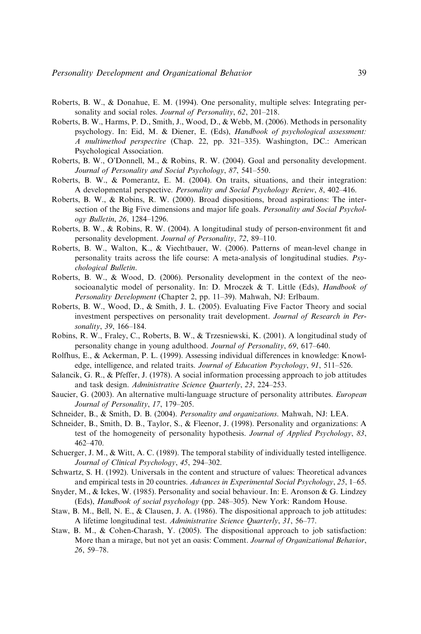- <span id="page-38-0"></span>Roberts, B. W., & Donahue, E. M. (1994). One personality, multiple selves: Integrating personality and social roles. Journal of Personality, 62, 201-218.
- Roberts, B. W., Harms, P. D., Smith, J., Wood, D., & Webb, M. (2006). Methods in personality psychology. In: Eid, M. & Diener, E. (Eds), Handbook of psychological assessment: A multimethod perspective (Chap. 22, pp. 321–335). Washington, DC.: American Psychological Association.
- Roberts, B. W., O'Donnell, M., & Robins, R. W. (2004). Goal and personality development. Journal of Personality and Social Psychology, 87, 541–550.
- Roberts, B. W., & Pomerantz, E. M. (2004). On traits, situations, and their integration: A developmental perspective. Personality and Social Psychology Review, 8, 402–416.
- Roberts, B. W., & Robins, R. W. (2000). Broad dispositions, broad aspirations: The intersection of the Big Five dimensions and major life goals. *Personality and Social Psychol*ogy Bulletin, 26, 1284–1296.
- Roberts, B. W., & Robins, R. W. (2004). A longitudinal study of person-environment fit and personality development. Journal of Personality, 72, 89–110.
- Roberts, B. W., Walton, K., & Viechtbauer, W. (2006). Patterns of mean-level change in personality traits across the life course: A meta-analysis of longitudinal studies.  $Psy$ chological Bulletin.
- Roberts, B. W., & Wood, D. (2006). Personality development in the context of the neosocioanalytic model of personality. In: D. Mroczek & T. Little (Eds), *Handbook of* Personality Development (Chapter 2, pp. 11–39). Mahwah, NJ: Erlbaum.
- Roberts, B. W., Wood, D., & Smith, J. L. (2005). Evaluating Five Factor Theory and social investment perspectives on personality trait development. Journal of Research in Personality, 39, 166–184.
- Robins, R. W., Fraley, C., Roberts, B. W., & Trzesniewski, K. (2001). A longitudinal study of personality change in young adulthood. Journal of Personality, 69, 617–640.
- Rolfhus, E., & Ackerman, P. L. (1999). Assessing individual differences in knowledge: Knowledge, intelligence, and related traits. Journal of Education Psychology, 91, 511–526.
- Salancik, G. R., & Pfeffer, J. (1978). A social information processing approach to job attitudes and task design. Administrative Science Quarterly, 23, 224–253.
- Saucier, G. (2003). An alternative multi-language structure of personality attributes. *European* Journal of Personality, 17, 179–205.
- Schneider, B., & Smith, D. B. (2004). Personality and organizations. Mahwah, NJ: LEA.
- Schneider, B., Smith, D. B., Taylor, S., & Fleenor, J. (1998). Personality and organizations: A test of the homogeneity of personality hypothesis. Journal of Applied Psychology, 83, 462–470.
- Schuerger, J. M., & Witt, A. C. (1989). The temporal stability of individually tested intelligence. Journal of Clinical Psychology, 45, 294–302.
- Schwartz, S. H. (1992). Universals in the content and structure of values: Theoretical advances and empirical tests in 20 countries. Advances in Experimental Social Psychology, 25, 1–65.
- Snyder, M., & Ickes, W. (1985). Personality and social behaviour. In: E. Aronson & G. Lindzey (Eds), Handbook of social psychology (pp. 248–305). New York: Random House.
- Staw, B. M., Bell, N. E., & Clausen, J. A. (1986). The dispositional approach to job attitudes: A lifetime longitudinal test. Administrative Science Quarterly, 31, 56–77.
- Staw, B. M., & Cohen-Charash, Y. (2005). The dispositional approach to job satisfaction: More than a mirage, but not yet an oasis: Comment. Journal of Organizational Behavior, 26, 59–78.